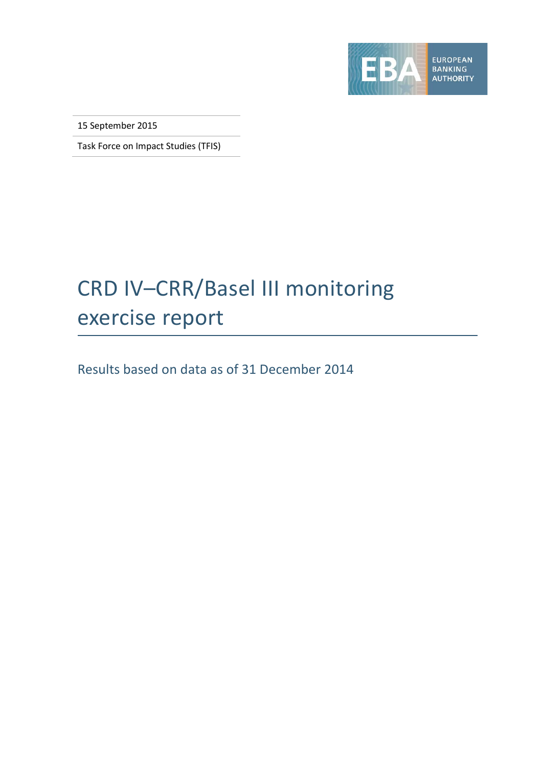

15 September 2015

Task Force on Impact Studies (TFIS)

# CRD IV–CRR/Basel III monitoring exercise report

Results based on data as of 31 December 2014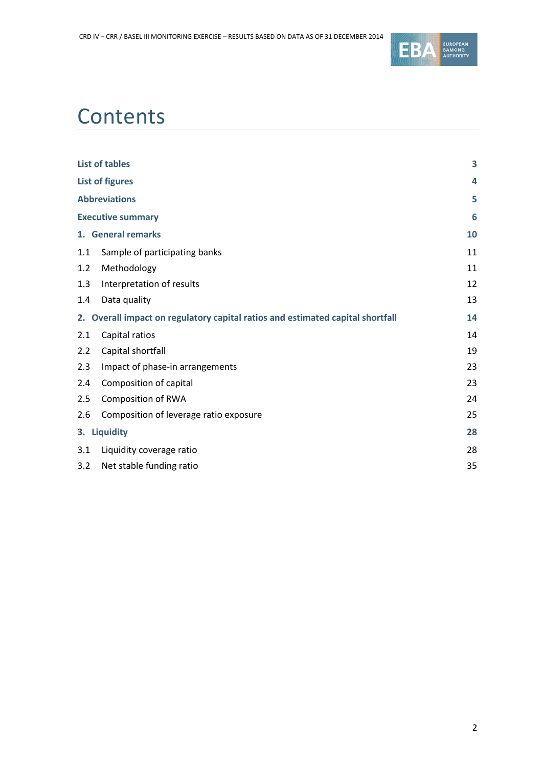

# **Contents**

|     | <b>List of tables</b>                                                          | 3  |
|-----|--------------------------------------------------------------------------------|----|
|     | <b>List of figures</b>                                                         | 4  |
|     | <b>Abbreviations</b>                                                           | 5  |
|     | <b>Executive summary</b>                                                       | 6  |
|     | 1. General remarks                                                             | 10 |
| 1.1 | Sample of participating banks                                                  | 11 |
| 1.2 | Methodology                                                                    | 11 |
| 1.3 | Interpretation of results                                                      | 12 |
| 1.4 | Data quality                                                                   | 13 |
|     | 2. Overall impact on regulatory capital ratios and estimated capital shortfall | 14 |
| 2.1 | Capital ratios                                                                 | 14 |
| 2.2 | Capital shortfall                                                              | 19 |
| 2.3 | Impact of phase-in arrangements                                                | 23 |
| 2.4 | Composition of capital                                                         | 23 |
| 2.5 | <b>Composition of RWA</b>                                                      | 24 |
| 2.6 | Composition of leverage ratio exposure                                         | 25 |
|     | 3. Liquidity                                                                   | 28 |
| 3.1 | Liquidity coverage ratio                                                       | 28 |
| 3.2 | Net stable funding ratio                                                       | 35 |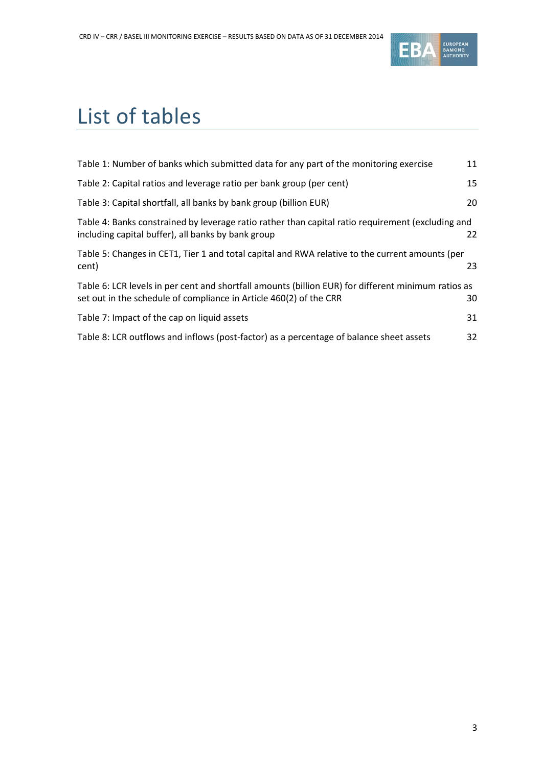

# <span id="page-2-0"></span>List of tables

| Table 1: Number of banks which submitted data for any part of the monitoring exercise                                                                                     | 11 |
|---------------------------------------------------------------------------------------------------------------------------------------------------------------------------|----|
| Table 2: Capital ratios and leverage ratio per bank group (per cent)                                                                                                      | 15 |
| Table 3: Capital shortfall, all banks by bank group (billion EUR)                                                                                                         | 20 |
| Table 4: Banks constrained by leverage ratio rather than capital ratio requirement (excluding and<br>including capital buffer), all banks by bank group                   | 22 |
| Table 5: Changes in CET1, Tier 1 and total capital and RWA relative to the current amounts (per<br>cent)                                                                  | 23 |
| Table 6: LCR levels in per cent and shortfall amounts (billion EUR) for different minimum ratios as<br>set out in the schedule of compliance in Article 460(2) of the CRR | 30 |
| Table 7: Impact of the cap on liquid assets                                                                                                                               | 31 |
| Table 8: LCR outflows and inflows (post-factor) as a percentage of balance sheet assets                                                                                   | 32 |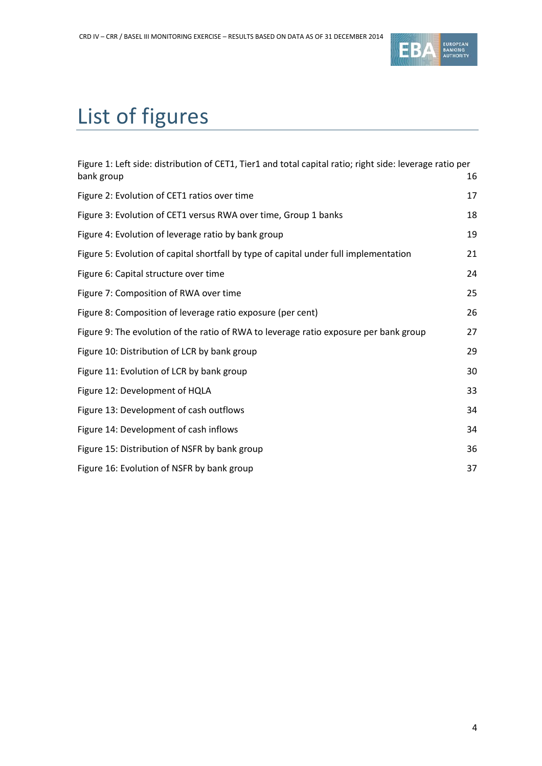

# <span id="page-3-0"></span>List of figures

| Figure 1: Left side: distribution of CET1, Tier1 and total capital ratio; right side: leverage ratio per<br>bank group | 16 |
|------------------------------------------------------------------------------------------------------------------------|----|
| Figure 2: Evolution of CET1 ratios over time                                                                           | 17 |
| Figure 3: Evolution of CET1 versus RWA over time, Group 1 banks                                                        | 18 |
| Figure 4: Evolution of leverage ratio by bank group                                                                    | 19 |
| Figure 5: Evolution of capital shortfall by type of capital under full implementation                                  | 21 |
| Figure 6: Capital structure over time                                                                                  | 24 |
| Figure 7: Composition of RWA over time                                                                                 | 25 |
| Figure 8: Composition of leverage ratio exposure (per cent)                                                            | 26 |
| Figure 9: The evolution of the ratio of RWA to leverage ratio exposure per bank group                                  | 27 |
| Figure 10: Distribution of LCR by bank group                                                                           | 29 |
| Figure 11: Evolution of LCR by bank group                                                                              | 30 |
| Figure 12: Development of HQLA                                                                                         | 33 |
| Figure 13: Development of cash outflows                                                                                | 34 |
| Figure 14: Development of cash inflows                                                                                 | 34 |
| Figure 15: Distribution of NSFR by bank group                                                                          | 36 |
| Figure 16: Evolution of NSFR by bank group                                                                             | 37 |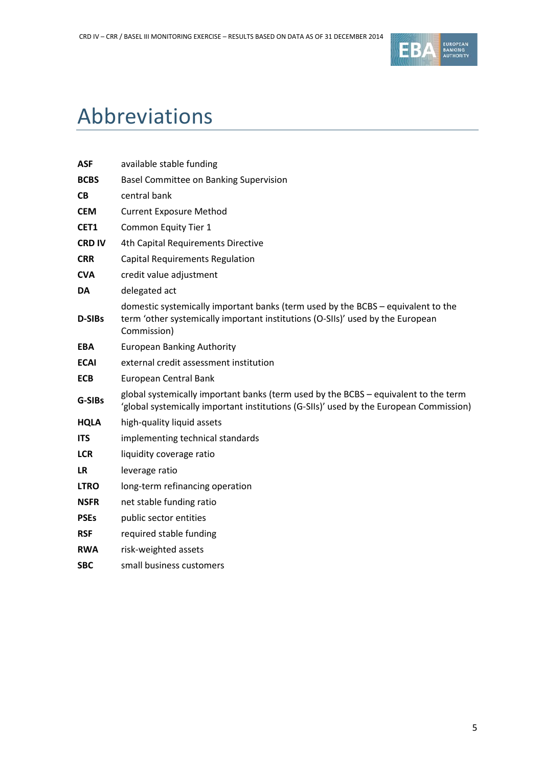

# <span id="page-4-0"></span>Abbreviations

| <b>ASF</b>    | available stable funding                                                                                                                                                          |
|---------------|-----------------------------------------------------------------------------------------------------------------------------------------------------------------------------------|
| <b>BCBS</b>   | Basel Committee on Banking Supervision                                                                                                                                            |
| <b>CB</b>     | central bank                                                                                                                                                                      |
| <b>CEM</b>    | <b>Current Exposure Method</b>                                                                                                                                                    |
| CET1          | Common Equity Tier 1                                                                                                                                                              |
| <b>CRD IV</b> | 4th Capital Requirements Directive                                                                                                                                                |
| <b>CRR</b>    | Capital Requirements Regulation                                                                                                                                                   |
| <b>CVA</b>    | credit value adjustment                                                                                                                                                           |
| <b>DA</b>     | delegated act                                                                                                                                                                     |
| D-SIBs        | domestic systemically important banks (term used by the BCBS - equivalent to the<br>term 'other systemically important institutions (O-SIIs)' used by the European<br>Commission) |
| <b>EBA</b>    | <b>European Banking Authority</b>                                                                                                                                                 |
| <b>ECAI</b>   | external credit assessment institution                                                                                                                                            |
| <b>ECB</b>    | European Central Bank                                                                                                                                                             |
| G-SIBs        | global systemically important banks (term used by the BCBS - equivalent to the term<br>'global systemically important institutions (G-SIIs)' used by the European Commission)     |
| <b>HQLA</b>   | high-quality liquid assets                                                                                                                                                        |
| <b>ITS</b>    | implementing technical standards                                                                                                                                                  |
| <b>LCR</b>    | liquidity coverage ratio                                                                                                                                                          |
| LR.           | leverage ratio                                                                                                                                                                    |
| <b>LTRO</b>   | long-term refinancing operation                                                                                                                                                   |
| <b>NSFR</b>   | net stable funding ratio                                                                                                                                                          |
| <b>PSEs</b>   | public sector entities                                                                                                                                                            |
| <b>RSF</b>    | required stable funding                                                                                                                                                           |
| <b>RWA</b>    | risk-weighted assets                                                                                                                                                              |
| <b>SBC</b>    | small business customers                                                                                                                                                          |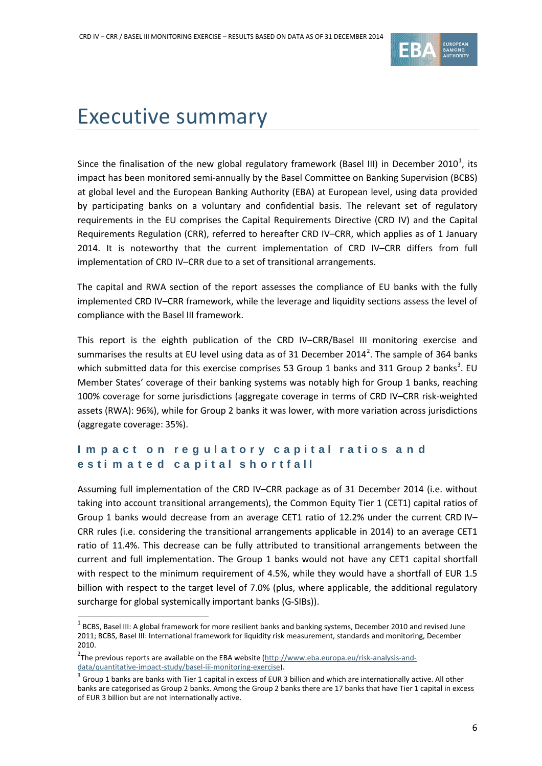

# <span id="page-5-0"></span>Executive summary

Since the finalisation of the new global regulatory framework (Basel III) in December 20[1](#page-5-1)0<sup>1</sup>, its impact has been monitored semi-annually by the Basel Committee on Banking Supervision (BCBS) at global level and the European Banking Authority (EBA) at European level, using data provided by participating banks on a voluntary and confidential basis. The relevant set of regulatory requirements in the EU comprises the Capital Requirements Directive (CRD IV) and the Capital Requirements Regulation (CRR), referred to hereafter CRD IV–CRR, which applies as of 1 January 2014. It is noteworthy that the current implementation of CRD IV–CRR differs from full implementation of CRD IV–CRR due to a set of transitional arrangements.

The capital and RWA section of the report assesses the compliance of EU banks with the fully implemented CRD IV–CRR framework, while the leverage and liquidity sections assess the level of compliance with the Basel III framework.

This report is the eighth publication of the CRD IV–CRR/Basel III monitoring exercise and summarises the results at EU level using data as of 31 December [2](#page-5-2)014<sup>2</sup>. The sample of 364 banks which submitted data for this exercise comprises 5[3](#page-5-3) Group 1 banks and 311 Group 2 banks<sup>3</sup>. EU Member States' coverage of their banking systems was notably high for Group 1 banks, reaching 100% coverage for some jurisdictions (aggregate coverage in terms of CRD IV–CRR risk-weighted assets (RWA): 96%), while for Group 2 banks it was lower, with more variation across jurisdictions (aggregate coverage: 35%).

## **I m p a ct o n re g ulat or y capital ratios a n d esti m a t e d ca pital sh ortfall**

Assuming full implementation of the CRD IV–CRR package as of 31 December 2014 (i.e. without taking into account transitional arrangements), the Common Equity Tier 1 (CET1) capital ratios of Group 1 banks would decrease from an average CET1 ratio of 12.2% under the current CRD IV– CRR rules (i.e. considering the transitional arrangements applicable in 2014) to an average CET1 ratio of 11.4%. This decrease can be fully attributed to transitional arrangements between the current and full implementation. The Group 1 banks would not have any CET1 capital shortfall with respect to the minimum requirement of 4.5%, while they would have a shortfall of EUR 1.5 billion with respect to the target level of 7.0% (plus, where applicable, the additional regulatory surcharge for global systemically important banks (G-SIBs)).

<span id="page-5-1"></span> $1$  BCBS, Basel III: A global framework for more resilient banks and banking systems, December 2010 and revised June 2011; BCBS, Basel III: International framework for liquidity risk measurement, standards and monitoring, December 2010.

<span id="page-5-2"></span><sup>&</sup>lt;sup>2</sup>The previous reports are available on the EBA website [\(http://www.eba.europa.eu/risk-analysis-and](http://www.eba.europa.eu/risk-analysis-and-data/quantitative-impact-study/basel-iii-monitoring-exercise)[data/quantitative-impact-study/basel-iii-monitoring-exercise\)](http://www.eba.europa.eu/risk-analysis-and-data/quantitative-impact-study/basel-iii-monitoring-exercise).

<span id="page-5-3"></span> $3$  Group 1 banks are banks with Tier 1 capital in excess of EUR 3 billion and which are internationally active. All other banks are categorised as Group 2 banks. Among the Group 2 banks there are 17 banks that have Tier 1 capital in excess of EUR 3 billion but are not internationally active.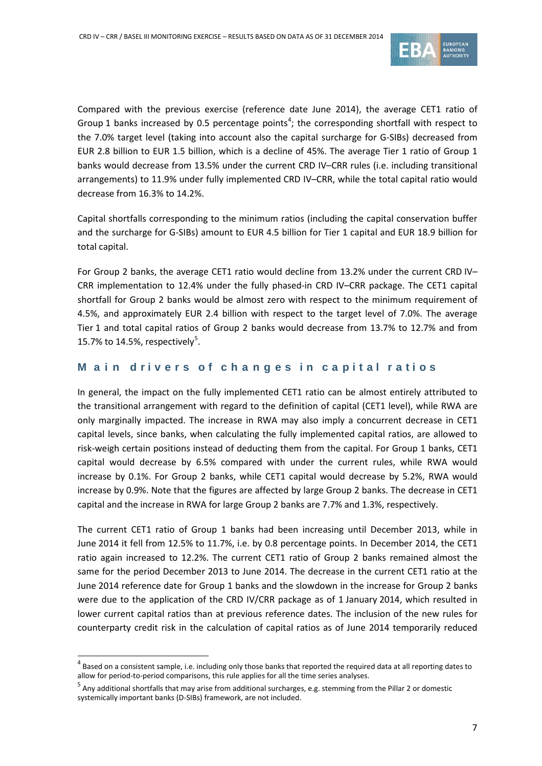

Compared with the previous exercise (reference date June 2014), the average CET1 ratio of Group 1 banks increased by 0.5 percentage points<sup>[4](#page-6-0)</sup>; the corresponding shortfall with respect to the 7.0% target level (taking into account also the capital surcharge for G-SIBs) decreased from EUR 2.8 billion to EUR 1.5 billion, which is a decline of 45%. The average Tier 1 ratio of Group 1 banks would decrease from 13.5% under the current CRD IV–CRR rules (i.e. including transitional arrangements) to 11.9% under fully implemented CRD IV–CRR, while the total capital ratio would decrease from 16.3% to 14.2%.

Capital shortfalls corresponding to the minimum ratios (including the capital conservation buffer and the surcharge for G-SIBs) amount to EUR 4.5 billion for Tier 1 capital and EUR 18.9 billion for total capital.

For Group 2 banks, the average CET1 ratio would decline from 13.2% under the current CRD IV– CRR implementation to 12.4% under the fully phased-in CRD IV–CRR package. The CET1 capital shortfall for Group 2 banks would be almost zero with respect to the minimum requirement of 4.5%, and approximately EUR 2.4 billion with respect to the target level of 7.0%. The average Tier 1 and total capital ratios of Group 2 banks would decrease from 13.7% to 12.7% and from 1[5](#page-6-1).7% to 14.5%, respectively<sup>5</sup>.

## **M a i n d riv e r s of c h a n g es in ca pital ratios**

In general, the impact on the fully implemented CET1 ratio can be almost entirely attributed to the transitional arrangement with regard to the definition of capital (CET1 level), while RWA are only marginally impacted. The increase in RWA may also imply a concurrent decrease in CET1 capital levels, since banks, when calculating the fully implemented capital ratios, are allowed to risk-weigh certain positions instead of deducting them from the capital. For Group 1 banks, CET1 capital would decrease by 6.5% compared with under the current rules, while RWA would increase by 0.1%. For Group 2 banks, while CET1 capital would decrease by 5.2%, RWA would increase by 0.9%. Note that the figures are affected by large Group 2 banks. The decrease in CET1 capital and the increase in RWA for large Group 2 banks are 7.7% and 1.3%, respectively.

The current CET1 ratio of Group 1 banks had been increasing until December 2013, while in June 2014 it fell from 12.5% to 11.7%, i.e. by 0.8 percentage points. In December 2014, the CET1 ratio again increased to 12.2%. The current CET1 ratio of Group 2 banks remained almost the same for the period December 2013 to June 2014. The decrease in the current CET1 ratio at the June 2014 reference date for Group 1 banks and the slowdown in the increase for Group 2 banks were due to the application of the CRD IV/CRR package as of 1 January 2014, which resulted in lower current capital ratios than at previous reference dates. The inclusion of the new rules for counterparty credit risk in the calculation of capital ratios as of June 2014 temporarily reduced

<span id="page-6-0"></span> $4$  Based on a consistent sample, i.e. including only those banks that reported the required data at all reporting dates to allow for period-to-period comparisons, this rule applies for all the time series analyses.

<span id="page-6-1"></span> $^5$  Any additional shortfalls that may arise from additional surcharges, e.g. stemming from the Pillar 2 or domestic systemically important banks (D-SIBs) framework, are not included.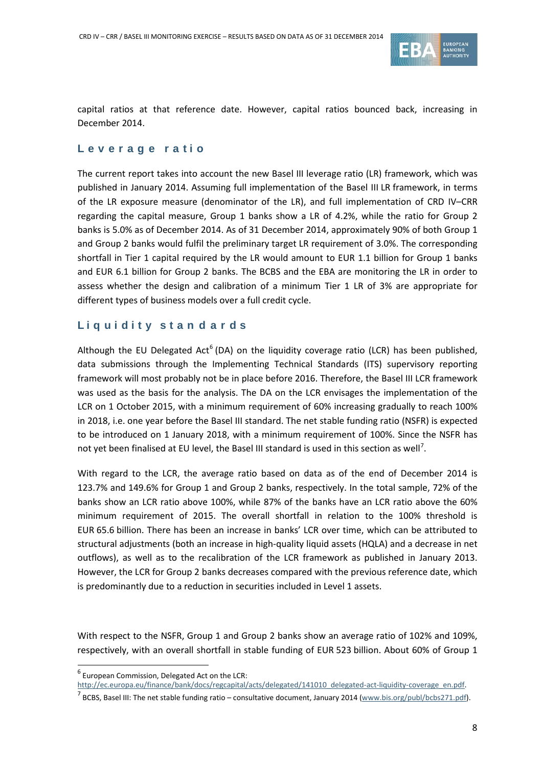

capital ratios at that reference date. However, capital ratios bounced back, increasing in December 2014.

### **Leverag e ratio**

The current report takes into account the new Basel III leverage ratio (LR) framework, which was published in January 2014. Assuming full implementation of the Basel III LR framework, in terms of the LR exposure measure (denominator of the LR), and full implementation of CRD IV–CRR regarding the capital measure, Group 1 banks show a LR of 4.2%, while the ratio for Group 2 banks is 5.0% as of December 2014. As of 31 December 2014, approximately 90% of both Group 1 and Group 2 banks would fulfil the preliminary target LR requirement of 3.0%. The corresponding shortfall in Tier 1 capital required by the LR would amount to EUR 1.1 billion for Group 1 banks and EUR 6.1 billion for Group 2 banks. The BCBS and the EBA are monitoring the LR in order to assess whether the design and calibration of a minimum Tier 1 LR of 3% are appropriate for different types of business models over a full credit cycle.

## **Liq ui dity sta n d a r ds**

Although the EU Delegated Act<sup>[6](#page-7-0)</sup> (DA) on the liquidity coverage ratio (LCR) has been published, data submissions through the Implementing Technical Standards (ITS) supervisory reporting framework will most probably not be in place before 2016. Therefore, the Basel III LCR framework was used as the basis for the analysis. The DA on the LCR envisages the implementation of the LCR on 1 October 2015, with a minimum requirement of 60% increasing gradually to reach 100% in 2018, i.e. one year before the Basel III standard. The net stable funding ratio (NSFR) is expected to be introduced on 1 January 2018, with a minimum requirement of 100%. Since the NSFR has not yet been finalised at EU level, the Basel III standard is used in this section as well<sup>[7](#page-7-1)</sup>.

With regard to the LCR, the average ratio based on data as of the end of December 2014 is 123.7% and 149.6% for Group 1 and Group 2 banks, respectively. In the total sample, 72% of the banks show an LCR ratio above 100%, while 87% of the banks have an LCR ratio above the 60% minimum requirement of 2015. The overall shortfall in relation to the 100% threshold is EUR 65.6 billion. There has been an increase in banks' LCR over time, which can be attributed to structural adjustments (both an increase in high-quality liquid assets (HQLA) and a decrease in net outflows), as well as to the recalibration of the LCR framework as published in January 2013. However, the LCR for Group 2 banks decreases compared with the previous reference date, which is predominantly due to a reduction in securities included in Level 1 assets.

With respect to the NSFR, Group 1 and Group 2 banks show an average ratio of 102% and 109%, respectively, with an overall shortfall in stable funding of EUR 523 billion. About 60% of Group 1

<span id="page-7-0"></span> $<sup>6</sup>$  European Commission, Delegated Act on the LCR:</sup>

[http://ec.europa.eu/finance/bank/docs/regcapital/acts/delegated/141010\\_delegated-act-liquidity-coverage\\_en.pdf.](http://ec.europa.eu/finance/bank/docs/regcapital/acts/delegated/141010_delegated-act-liquidity-coverage_en.pdf)

<span id="page-7-1"></span> $^7$  BCBS, Basel III: The net stable funding ratio – consultative document, January 2014 [\(www.bis.org/publ/bcbs271.pdf\)](http://www.bis.org/publ/bcbs271.pdf).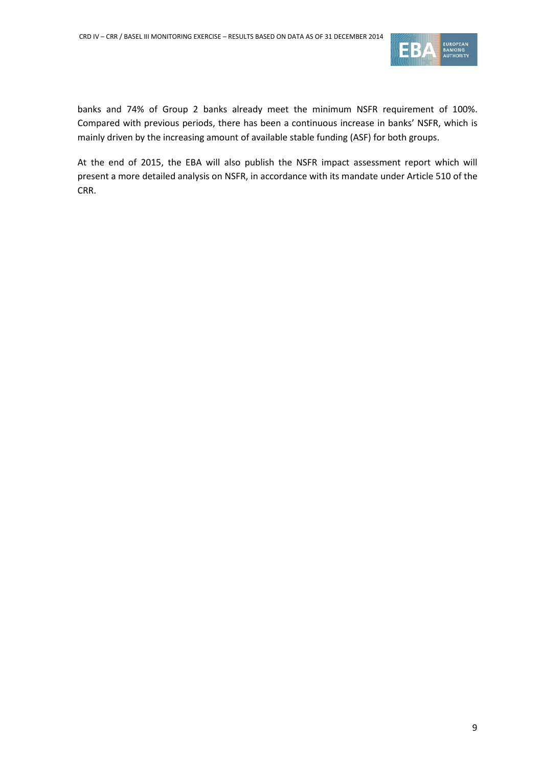

banks and 74% of Group 2 banks already meet the minimum NSFR requirement of 100%. Compared with previous periods, there has been a continuous increase in banks' NSFR, which is mainly driven by the increasing amount of available stable funding (ASF) for both groups.

At the end of 2015, the EBA will also publish the NSFR impact assessment report which will present a more detailed analysis on NSFR, in accordance with its mandate under Article 510 of the CRR.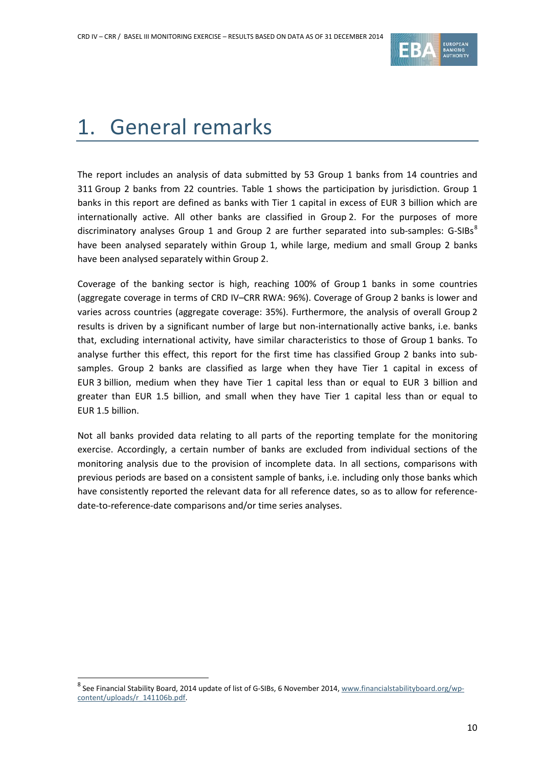

# <span id="page-9-0"></span>1. General remarks

The report includes an analysis of data submitted by 53 Group 1 banks from 14 countries and 311 Group 2 banks from 22 countries. [Table 1](#page-10-2) shows the participation by jurisdiction. Group 1 banks in this report are defined as banks with Tier 1 capital in excess of EUR 3 billion which are internationally active. All other banks are classified in Group 2. For the purposes of more discriminatory analyses Group 1 and Group 2 are further separated into sub-samples:  $G-SIBs<sup>8</sup>$  $G-SIBs<sup>8</sup>$  $G-SIBs<sup>8</sup>$ have been analysed separately within Group 1, while large, medium and small Group 2 banks have been analysed separately within Group 2.

Coverage of the banking sector is high, reaching 100% of Group 1 banks in some countries (aggregate coverage in terms of CRD IV–CRR RWA: 96%). Coverage of Group 2 banks is lower and varies across countries (aggregate coverage: 35%). Furthermore, the analysis of overall Group 2 results is driven by a significant number of large but non-internationally active banks, i.e. banks that, excluding international activity, have similar characteristics to those of Group 1 banks. To analyse further this effect, this report for the first time has classified Group 2 banks into subsamples. Group 2 banks are classified as large when they have Tier 1 capital in excess of EUR 3 billion, medium when they have Tier 1 capital less than or equal to EUR 3 billion and greater than EUR 1.5 billion, and small when they have Tier 1 capital less than or equal to EUR 1.5 billion.

Not all banks provided data relating to all parts of the reporting template for the monitoring exercise. Accordingly, a certain number of banks are excluded from individual sections of the monitoring analysis due to the provision of incomplete data. In all sections, comparisons with previous periods are based on a consistent sample of banks, i.e. including only those banks which have consistently reported the relevant data for all reference dates, so as to allow for referencedate-to-reference-date comparisons and/or time series analyses.

<span id="page-9-1"></span> $^8$  See Financial Stability Board, 2014 update of list of G-SIBs, 6 November 2014, [www.financialstabilityboard.org/wp](http://www.financialstabilityboard.org/wp-content/uploads/r_141106b.pdf)[content/uploads/r\\_141106b.pdf.](http://www.financialstabilityboard.org/wp-content/uploads/r_141106b.pdf)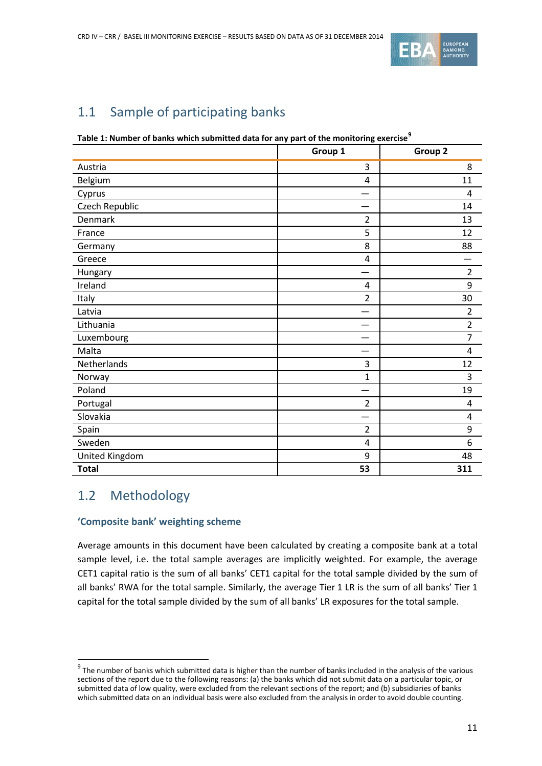

# <span id="page-10-0"></span>1.1 Sample of participating banks

<span id="page-10-2"></span>**Table 1: Number of banks which submitted data for any part of the monitoring exercise[9](#page-10-3)**

|                | . .<br>Group 1 | Group 2        |
|----------------|----------------|----------------|
| Austria        | 3              | 8              |
| Belgium        | 4              | 11             |
| Cyprus         |                | 4              |
| Czech Republic |                | 14             |
| Denmark        | $\overline{2}$ | 13             |
| France         | 5              | 12             |
| Germany        | 8              | 88             |
| Greece         | 4              |                |
| Hungary        |                | $\overline{2}$ |
| Ireland        | 4              | 9              |
| Italy          | 2              | 30             |
| Latvia         | —              | 2              |
| Lithuania      |                | $\overline{2}$ |
| Luxembourg     |                | 7              |
| Malta          |                | 4              |
| Netherlands    | 3              | 12             |
| Norway         | 1              | 3              |
| Poland         |                | 19             |
| Portugal       | 2              | 4              |
| Slovakia       |                | 4              |
| Spain          | $\overline{2}$ | 9              |
| Sweden         | 4              | 6              |
| United Kingdom | 9              | 48             |
| <b>Total</b>   | 53             | 311            |

## <span id="page-10-1"></span>1.2 Methodology

 $\overline{a}$ 

## **'Composite bank' weighting scheme**

Average amounts in this document have been calculated by creating a composite bank at a total sample level, i.e. the total sample averages are implicitly weighted. For example, the average CET1 capital ratio is the sum of all banks' CET1 capital for the total sample divided by the sum of all banks' RWA for the total sample. Similarly, the average Tier 1 LR is the sum of all banks' Tier 1 capital for the total sample divided by the sum of all banks' LR exposures for the total sample.

<span id="page-10-3"></span> $9$  The number of banks which submitted data is higher than the number of banks included in the analysis of the various sections of the report due to the following reasons: (a) the banks which did not submit data on a particular topic, or submitted data of low quality, were excluded from the relevant sections of the report; and (b) subsidiaries of banks which submitted data on an individual basis were also excluded from the analysis in order to avoid double counting.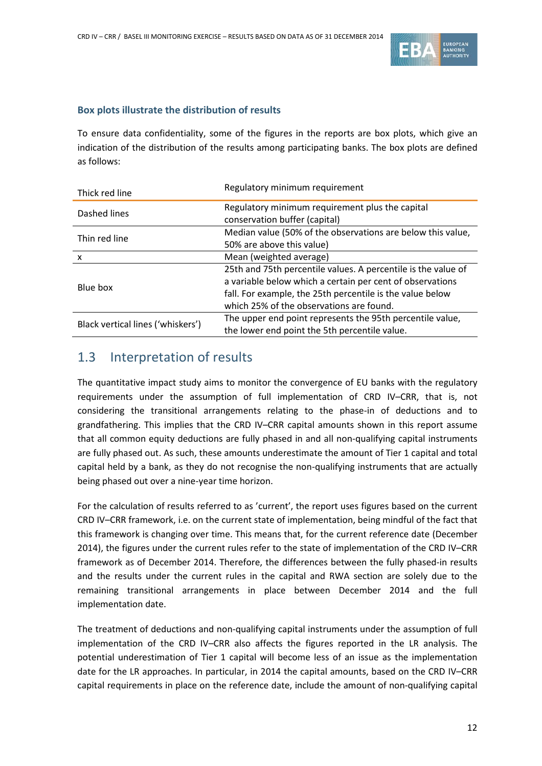

## **Box plots illustrate the distribution of results**

To ensure data confidentiality, some of the figures in the reports are box plots, which give an indication of the distribution of the results among participating banks. The box plots are defined as follows:

| Thick red line                    | Regulatory minimum requirement                                |  |  |  |  |
|-----------------------------------|---------------------------------------------------------------|--|--|--|--|
| Dashed lines                      | Regulatory minimum requirement plus the capital               |  |  |  |  |
|                                   | conservation buffer (capital)                                 |  |  |  |  |
| Thin red line                     | Median value (50% of the observations are below this value,   |  |  |  |  |
|                                   | 50% are above this value)                                     |  |  |  |  |
| x                                 | Mean (weighted average)                                       |  |  |  |  |
|                                   | 25th and 75th percentile values. A percentile is the value of |  |  |  |  |
| Blue box                          | a variable below which a certain per cent of observations     |  |  |  |  |
|                                   | fall. For example, the 25th percentile is the value below     |  |  |  |  |
|                                   | which 25% of the observations are found.                      |  |  |  |  |
|                                   | The upper end point represents the 95th percentile value,     |  |  |  |  |
| Black vertical lines ('whiskers') | the lower end point the 5th percentile value.                 |  |  |  |  |

## <span id="page-11-0"></span>1.3 Interpretation of results

The quantitative impact study aims to monitor the convergence of EU banks with the regulatory requirements under the assumption of full implementation of CRD IV–CRR, that is, not considering the transitional arrangements relating to the phase-in of deductions and to grandfathering. This implies that the CRD IV–CRR capital amounts shown in this report assume that all common equity deductions are fully phased in and all non-qualifying capital instruments are fully phased out. As such, these amounts underestimate the amount of Tier 1 capital and total capital held by a bank, as they do not recognise the non-qualifying instruments that are actually being phased out over a nine-year time horizon.

For the calculation of results referred to as 'current', the report uses figures based on the current CRD IV–CRR framework, i.e. on the current state of implementation, being mindful of the fact that this framework is changing over time. This means that, for the current reference date (December 2014), the figures under the current rules refer to the state of implementation of the CRD IV–CRR framework as of December 2014. Therefore, the differences between the fully phased-in results and the results under the current rules in the capital and RWA section are solely due to the remaining transitional arrangements in place between December 2014 and the full implementation date.

The treatment of deductions and non-qualifying capital instruments under the assumption of full implementation of the CRD IV–CRR also affects the figures reported in the LR analysis. The potential underestimation of Tier 1 capital will become less of an issue as the implementation date for the LR approaches. In particular, in 2014 the capital amounts, based on the CRD IV–CRR capital requirements in place on the reference date, include the amount of non-qualifying capital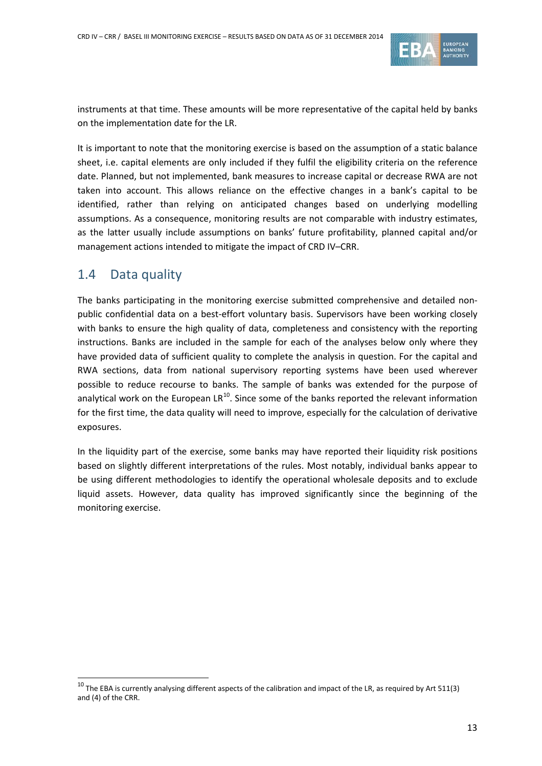

instruments at that time. These amounts will be more representative of the capital held by banks on the implementation date for the LR.

It is important to note that the monitoring exercise is based on the assumption of a static balance sheet, i.e. capital elements are only included if they fulfil the eligibility criteria on the reference date. Planned, but not implemented, bank measures to increase capital or decrease RWA are not taken into account. This allows reliance on the effective changes in a bank's capital to be identified, rather than relying on anticipated changes based on underlying modelling assumptions. As a consequence, monitoring results are not comparable with industry estimates, as the latter usually include assumptions on banks' future profitability, planned capital and/or management actions intended to mitigate the impact of CRD IV–CRR.

## <span id="page-12-0"></span>1.4 Data quality

 $\overline{a}$ 

The banks participating in the monitoring exercise submitted comprehensive and detailed nonpublic confidential data on a best-effort voluntary basis. Supervisors have been working closely with banks to ensure the high quality of data, completeness and consistency with the reporting instructions. Banks are included in the sample for each of the analyses below only where they have provided data of sufficient quality to complete the analysis in question. For the capital and RWA sections, data from national supervisory reporting systems have been used wherever possible to reduce recourse to banks. The sample of banks was extended for the purpose of analytical work on the European  $LR^{10}$  $LR^{10}$  $LR^{10}$ . Since some of the banks reported the relevant information for the first time, the data quality will need to improve, especially for the calculation of derivative exposures.

In the liquidity part of the exercise, some banks may have reported their liquidity risk positions based on slightly different interpretations of the rules. Most notably, individual banks appear to be using different methodologies to identify the operational wholesale deposits and to exclude liquid assets. However, data quality has improved significantly since the beginning of the monitoring exercise.

<span id="page-12-1"></span> $10$  The EBA is currently analysing different aspects of the calibration and impact of the LR, as required by Art 511(3) and (4) of the CRR.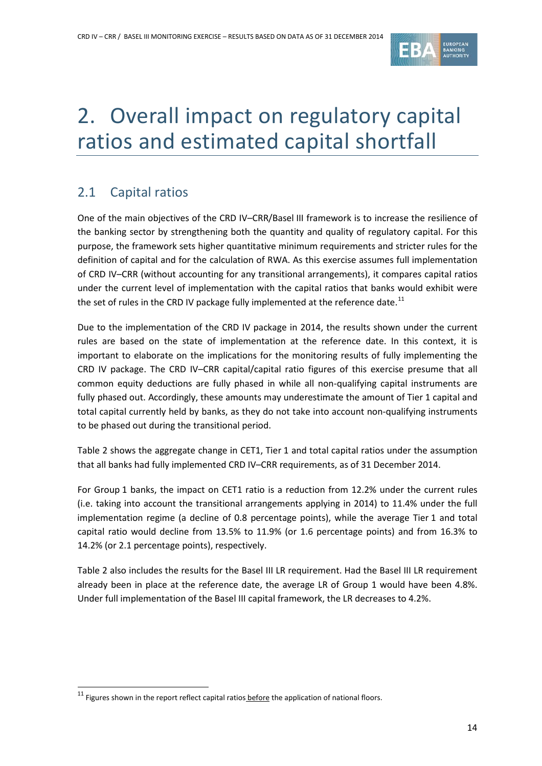

# <span id="page-13-0"></span>2. Overall impact on regulatory capital ratios and estimated capital shortfall

# <span id="page-13-1"></span>2.1 Capital ratios

One of the main objectives of the CRD IV–CRR/Basel III framework is to increase the resilience of the banking sector by strengthening both the quantity and quality of regulatory capital. For this purpose, the framework sets higher quantitative minimum requirements and stricter rules for the definition of capital and for the calculation of RWA. As this exercise assumes full implementation of CRD IV–CRR (without accounting for any transitional arrangements), it compares capital ratios under the current level of implementation with the capital ratios that banks would exhibit were the set of rules in the CRD IV package fully implemented at the reference date.<sup>[11](#page-13-2)</sup>

Due to the implementation of the CRD IV package in 2014, the results shown under the current rules are based on the state of implementation at the reference date. In this context, it is important to elaborate on the implications for the monitoring results of fully implementing the CRD IV package. The CRD IV–CRR capital/capital ratio figures of this exercise presume that all common equity deductions are fully phased in while all non-qualifying capital instruments are fully phased out. Accordingly, these amounts may underestimate the amount of Tier 1 capital and total capital currently held by banks, as they do not take into account non-qualifying instruments to be phased out during the transitional period.

[Table 2](#page-14-0) shows the aggregate change in CET1, Tier 1 and total capital ratios under the assumption that all banks had fully implemented CRD IV–CRR requirements, as of 31 December 2014.

For Group 1 banks, the impact on CET1 ratio is a reduction from 12.2% under the current rules (i.e. taking into account the transitional arrangements applying in 2014) to 11.4% under the full implementation regime (a decline of 0.8 percentage points), while the average Tier 1 and total capital ratio would decline from 13.5% to 11.9% (or 1.6 percentage points) and from 16.3% to 14.2% (or 2.1 percentage points), respectively.

[Table 2](#page-14-0) also includes the results for the Basel III LR requirement. Had the Basel III LR requirement already been in place at the reference date, the average LR of Group 1 would have been 4.8%. Under full implementation of the Basel III capital framework, the LR decreases to 4.2%.

<span id="page-13-2"></span> $11$  Figures shown in the report reflect capital ratios before the application of national floors.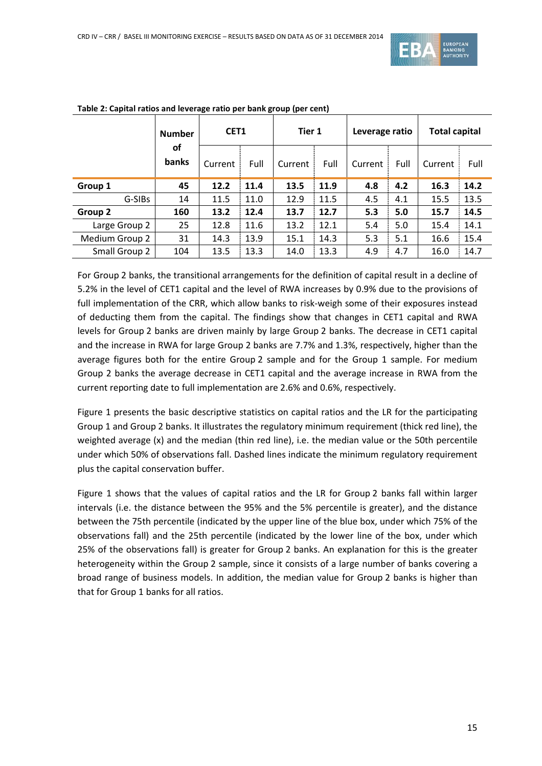

|                | <b>Number</b> | Tier 1<br>CET <sub>1</sub> |      | Leverage ratio |      | <b>Total capital</b> |      |         |      |
|----------------|---------------|----------------------------|------|----------------|------|----------------------|------|---------|------|
|                | οf<br>banks   | Current                    | Full | Current        | Full | Current              | Full | Current | Full |
| Group 1        | 45            | 12.2                       | 11.4 | 13.5           | 11.9 | 4.8                  | 4.2  | 16.3    | 14.2 |
| G-SIBs         | 14            | 11.5                       | 11.0 | 12.9           | 11.5 | 4.5                  | 4.1  | 15.5    | 13.5 |
| Group 2        | 160           | 13.2                       | 12.4 | 13.7           | 12.7 | 5.3                  | 5.0  | 15.7    | 14.5 |
| Large Group 2  | 25            | 12.8                       | 11.6 | 13.2           | 12.1 | 5.4                  | 5.0  | 15.4    | 14.1 |
| Medium Group 2 | 31            | 14.3                       | 13.9 | 15.1           | 14.3 | 5.3                  | 5.1  | 16.6    | 15.4 |
| Small Group 2  | 104           | 13.5                       | 13.3 | 14.0           | 13.3 | 4.9                  | 4.7  | 16.0    | 14.7 |

#### <span id="page-14-0"></span>**Table 2: Capital ratios and leverage ratio per bank group (per cent)**

For Group 2 banks, the transitional arrangements for the definition of capital result in a decline of 5.2% in the level of CET1 capital and the level of RWA increases by 0.9% due to the provisions of full implementation of the CRR, which allow banks to risk-weigh some of their exposures instead of deducting them from the capital. The findings show that changes in CET1 capital and RWA levels for Group 2 banks are driven mainly by large Group 2 banks. The decrease in CET1 capital and the increase in RWA for large Group 2 banks are 7.7% and 1.3%, respectively, higher than the average figures both for the entire Group 2 sample and for the Group 1 sample. For medium Group 2 banks the average decrease in CET1 capital and the average increase in RWA from the current reporting date to full implementation are 2.6% and 0.6%, respectively.

[Figure 1](#page-15-0) presents the basic descriptive statistics on capital ratios and the LR for the participating Group 1 and Group 2 banks. It illustrates the regulatory minimum requirement (thick red line), the weighted average (x) and the median (thin red line), i.e. the median value or the 50th percentile under which 50% of observations fall. Dashed lines indicate the minimum regulatory requirement plus the capital conservation buffer.

[Figure 1](#page-15-0) shows that the values of capital ratios and the LR for Group 2 banks fall within larger intervals (i.e. the distance between the 95% and the 5% percentile is greater), and the distance between the 75th percentile (indicated by the upper line of the blue box, under which 75% of the observations fall) and the 25th percentile (indicated by the lower line of the box, under which 25% of the observations fall) is greater for Group 2 banks. An explanation for this is the greater heterogeneity within the Group 2 sample, since it consists of a large number of banks covering a broad range of business models. In addition, the median value for Group 2 banks is higher than that for Group 1 banks for all ratios.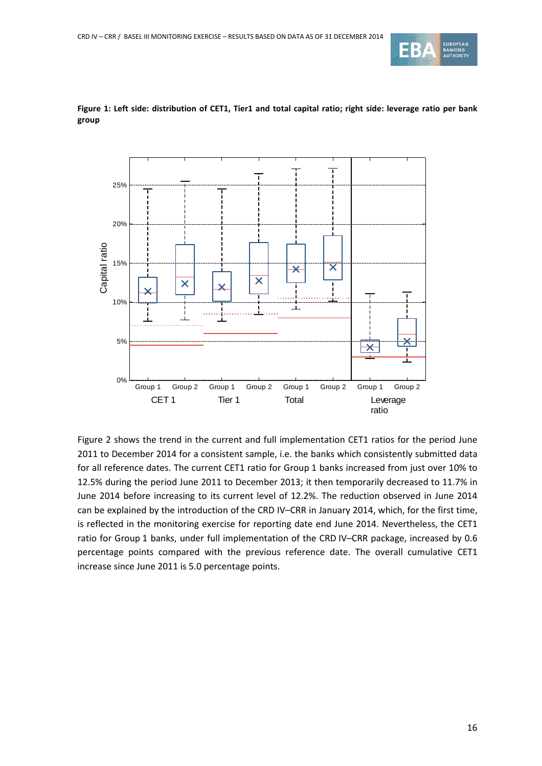



<span id="page-15-0"></span>**Figure 1: Left side: distribution of CET1, Tier1 and total capital ratio; right side: leverage ratio per bank group**

[Figure 2](#page-16-0) shows the trend in the current and full implementation CET1 ratios for the period June 2011 to December 2014 for a consistent sample, i.e. the banks which consistently submitted data for all reference dates. The current CET1 ratio for Group 1 banks increased from just over 10% to 12.5% during the period June 2011 to December 2013; it then temporarily decreased to 11.7% in June 2014 before increasing to its current level of 12.2%. The reduction observed in June 2014 can be explained by the introduction of the CRD IV–CRR in January 2014, which, for the first time, is reflected in the monitoring exercise for reporting date end June 2014. Nevertheless, the CET1 ratio for Group 1 banks, under full implementation of the CRD IV–CRR package, increased by 0.6 percentage points compared with the previous reference date. The overall cumulative CET1 increase since June 2011 is 5.0 percentage points.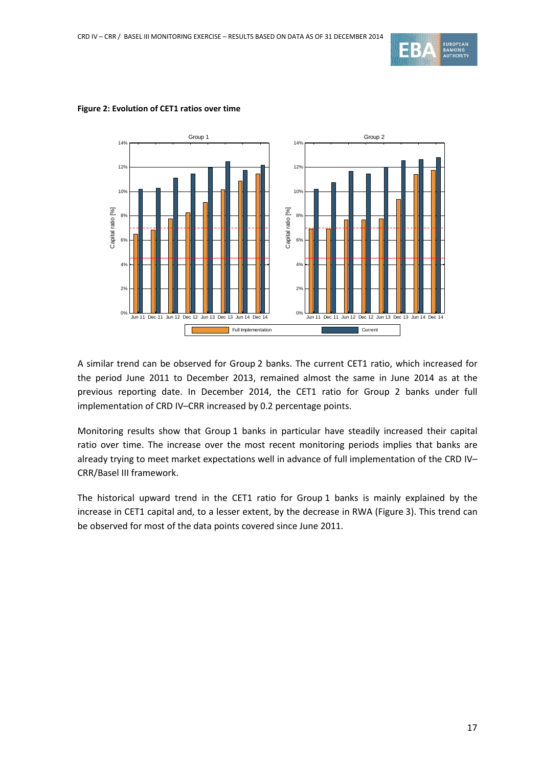



#### <span id="page-16-0"></span>**Figure 2: Evolution of CET1 ratios over time**

A similar trend can be observed for Group 2 banks. The current CET1 ratio, which increased for the period June 2011 to December 2013, remained almost the same in June 2014 as at the previous reporting date. In December 2014, the CET1 ratio for Group 2 banks under full implementation of CRD IV–CRR increased by 0.2 percentage points.

Monitoring results show that Group 1 banks in particular have steadily increased their capital ratio over time. The increase over the most recent monitoring periods implies that banks are already trying to meet market expectations well in advance of full implementation of the CRD IV– CRR/Basel III framework.

The historical upward trend in the CET1 ratio for Group 1 banks is mainly explained by the increase in CET1 capital and, to a lesser extent, by the decrease in RWA (Figure 3). This trend can be observed for most of the data points covered since June 2011.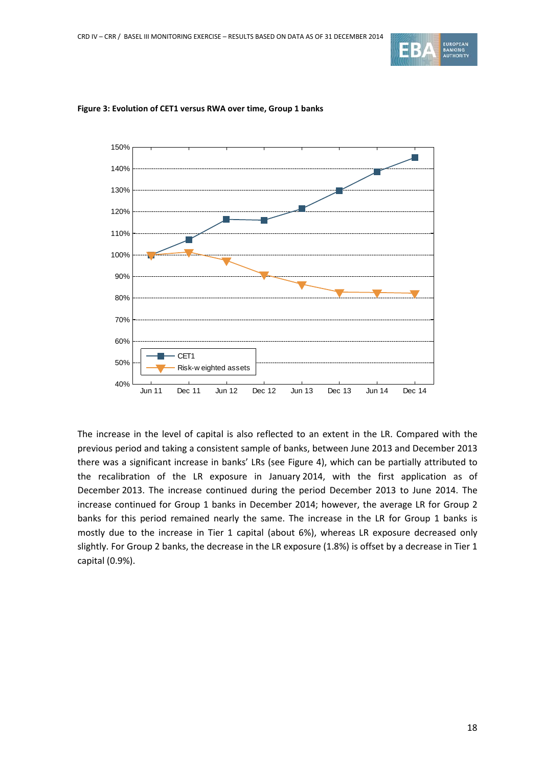



#### **Figure 3: Evolution of CET1 versus RWA over time, Group 1 banks**

The increase in the level of capital is also reflected to an extent in the LR. Compared with the previous period and taking a consistent sample of banks, between June 2013 and December 2013 there was a significant increase in banks' LRs (see [Figure 4\)](#page-18-1), which can be partially attributed to the recalibration of the LR exposure in January 2014, with the first application as of December 2013. The increase continued during the period December 2013 to June 2014. The increase continued for Group 1 banks in December 2014; however, the average LR for Group 2 banks for this period remained nearly the same. The increase in the LR for Group 1 banks is mostly due to the increase in Tier 1 capital (about 6%), whereas LR exposure decreased only slightly. For Group 2 banks, the decrease in the LR exposure (1.8%) is offset by a decrease in Tier 1 capital (0.9%).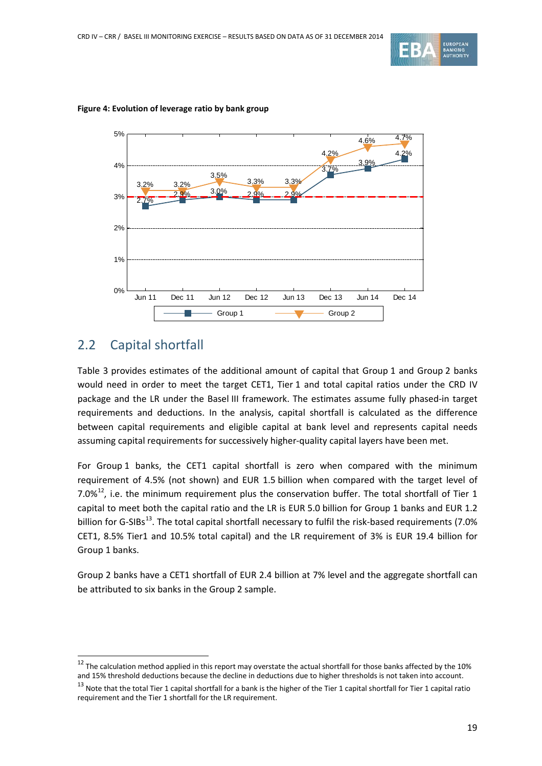



#### <span id="page-18-1"></span>**Figure 4: Evolution of leverage ratio by bank group**

## <span id="page-18-0"></span>2.2 Capital shortfall

 $\overline{a}$ 

[Table 3](#page-19-0) provides estimates of the additional amount of capital that Group 1 and Group 2 banks would need in order to meet the target CET1, Tier 1 and total capital ratios under the CRD IV package and the LR under the Basel III framework. The estimates assume fully phased-in target requirements and deductions. In the analysis, capital shortfall is calculated as the difference between capital requirements and eligible capital at bank level and represents capital needs assuming capital requirements for successively higher-quality capital layers have been met.

For Group 1 banks, the CET1 capital shortfall is zero when compared with the minimum requirement of 4.5% (not shown) and EUR 1.5 billion when compared with the target level of 7.0% $^{12}$  $^{12}$  $^{12}$ , i.e. the minimum requirement plus the conservation buffer. The total shortfall of Tier 1 capital to meet both the capital ratio and the LR is EUR 5.0 billion for Group 1 banks and EUR 1.2 billion for G-SIBs<sup>13</sup>. The total capital shortfall necessary to fulfil the risk-based requirements (7.0% CET1, 8.5% Tier1 and 10.5% total capital) and the LR requirement of 3% is EUR 19.4 billion for Group 1 banks.

Group 2 banks have a CET1 shortfall of EUR 2.4 billion at 7% level and the aggregate shortfall can be attributed to six banks in the Group 2 sample.

<span id="page-18-2"></span> $12$  The calculation method applied in this report may overstate the actual shortfall for those banks affected by the 10% and 15% threshold deductions because the decline in deductions due to higher thresholds is not taken into account.

<span id="page-18-3"></span> $^{13}$  Note that the total Tier 1 capital shortfall for a bank is the higher of the Tier 1 capital shortfall for Tier 1 capital ratio requirement and the Tier 1 shortfall for the LR requirement.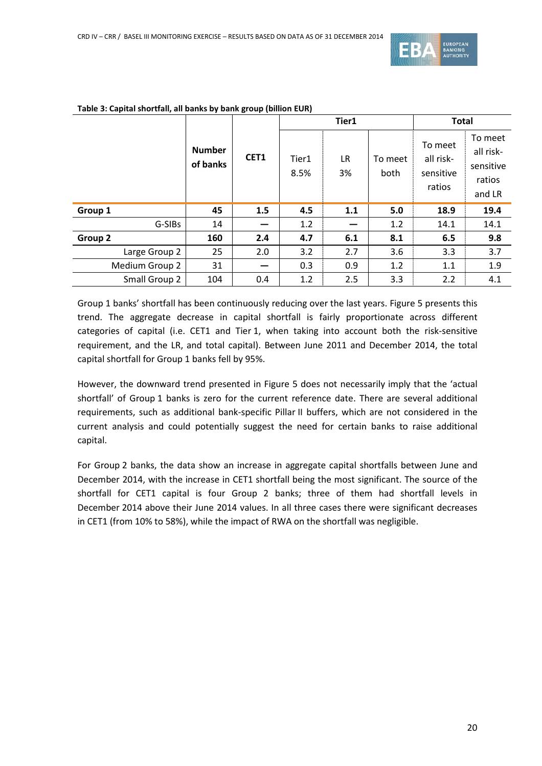

|                |                           |      |               | Tier1           | <b>Total</b>    |                                             |                                                       |
|----------------|---------------------------|------|---------------|-----------------|-----------------|---------------------------------------------|-------------------------------------------------------|
|                | <b>Number</b><br>of banks | CET1 | Tier1<br>8.5% | <b>LR</b><br>3% | To meet<br>both | To meet<br>all risk-<br>sensitive<br>ratios | To meet<br>all risk-<br>sensitive<br>ratios<br>and LR |
| Group 1        | 45                        | 1.5  | 4.5           | 1.1             | 5.0             | 18.9                                        | 19.4                                                  |
| G-SIBs         | 14                        |      | 1.2           |                 | 1.2             | 14.1                                        | 14.1                                                  |
| Group 2        | 160                       | 2.4  | 4.7           | 6.1             | 8.1             | 6.5                                         | 9.8                                                   |
| Large Group 2  | 25                        | 2.0  | 3.2           | 2.7             | 3.6             | 3.3                                         | 3.7                                                   |
| Medium Group 2 | 31                        | –    | 0.3           | 0.9             | 1.2             | 1.1                                         | 1.9                                                   |
| Small Group 2  | 104                       | 0.4  | 1.2           | 2.5             | 3.3             | 2.2                                         | 4.1                                                   |

#### <span id="page-19-0"></span>**Table 3: Capital shortfall, all banks by bank group (billion EUR)**

Group 1 banks' shortfall has been continuously reducing over the last years. [Figure 5](#page-20-0) presents this trend. The aggregate decrease in capital shortfall is fairly proportionate across different categories of capital (i.e. CET1 and Tier 1, when taking into account both the risk-sensitive requirement, and the LR, and total capital). Between June 2011 and December 2014, the total capital shortfall for Group 1 banks fell by 95%.

However, the downward trend presented in [Figure 5](#page-20-0) does not necessarily imply that the 'actual shortfall' of Group 1 banks is zero for the current reference date. There are several additional requirements, such as additional bank-specific Pillar II buffers, which are not considered in the current analysis and could potentially suggest the need for certain banks to raise additional capital.

For Group 2 banks, the data show an increase in aggregate capital shortfalls between June and December 2014, with the increase in CET1 shortfall being the most significant. The source of the shortfall for CET1 capital is four Group 2 banks; three of them had shortfall levels in December 2014 above their June 2014 values. In all three cases there were significant decreases in CET1 (from 10% to 58%), while the impact of RWA on the shortfall was negligible.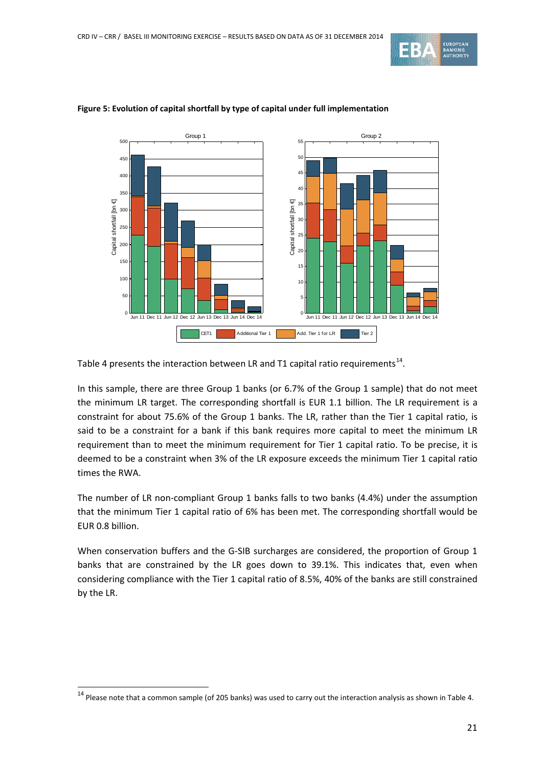



#### <span id="page-20-0"></span>**Figure 5: Evolution of capital shortfall by type of capital under full implementation**

[Table 4](#page-21-0) presents the interaction between LR and T1 capital ratio requirements<sup>14</sup>.

In this sample, there are three Group 1 banks (or 6.7% of the Group 1 sample) that do not meet the minimum LR target. The corresponding shortfall is EUR 1.1 billion. The LR requirement is a constraint for about 75.6% of the Group 1 banks. The LR, rather than the Tier 1 capital ratio, is said to be a constraint for a bank if this bank requires more capital to meet the minimum LR requirement than to meet the minimum requirement for Tier 1 capital ratio. To be precise, it is deemed to be a constraint when 3% of the LR exposure exceeds the minimum Tier 1 capital ratio times the RWA.

The number of LR non-compliant Group 1 banks falls to two banks (4.4%) under the assumption that the minimum Tier 1 capital ratio of 6% has been met. The corresponding shortfall would be EUR 0.8 billion.

When conservation buffers and the G-SIB surcharges are considered, the proportion of Group 1 banks that are constrained by the LR goes down to 39.1%. This indicates that, even when considering compliance with the Tier 1 capital ratio of 8.5%, 40% of the banks are still constrained by the LR.

<span id="page-20-1"></span> $14$  Please note that a common sample (of 205 banks) was used to carry out the interaction analysis as shown i[n Table 4.](#page-21-0)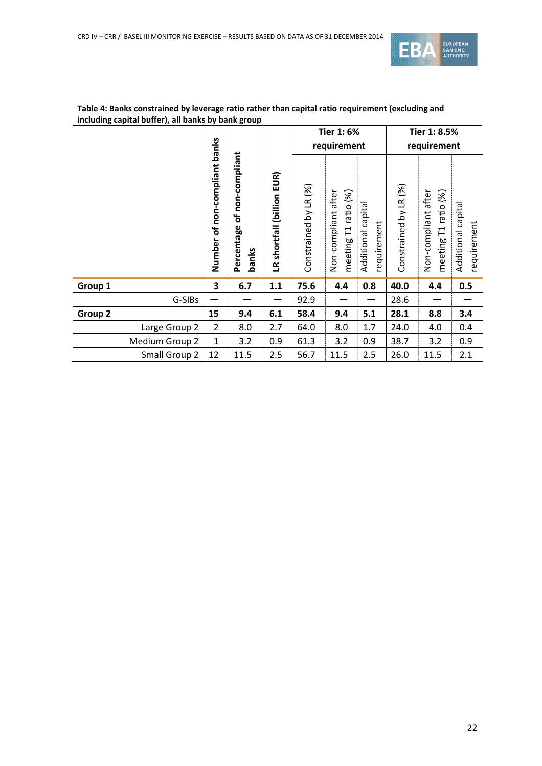

|         |                                                                                          |                |                                         |                       | <b>Tier 1:6%</b>                            |                                      | Tier 1: 8.5%          |                                                |                                  |     |
|---------|------------------------------------------------------------------------------------------|----------------|-----------------------------------------|-----------------------|---------------------------------------------|--------------------------------------|-----------------------|------------------------------------------------|----------------------------------|-----|
|         |                                                                                          |                |                                         |                       |                                             | requirement                          |                       |                                                | requirement                      |     |
|         | non-compliant banks<br>of non-compliant<br>Percentage<br>$\mathbf{P}$<br>Number<br>banks |                | EUR)<br>(billion<br>shortfall<br>$\leq$ | Constrained by LR (%) | Non-compliant after<br>meeting T1 ratio (%) | capital<br>requirement<br>Additional | Constrained by LR (%) | Non-compliant after<br>ratio (%)<br>meeting T1 | Additional capita<br>requirement |     |
| Group 1 |                                                                                          | 3              | 6.7                                     | 1.1                   | 75.6                                        | 4.4                                  | 0.8                   | 40.0                                           | 4.4                              | 0.5 |
|         | G-SIBs                                                                                   |                |                                         |                       | 92.9                                        |                                      |                       | 28.6                                           |                                  |     |
| Group 2 |                                                                                          | 15             | 9.4                                     | 6.1                   | 58.4                                        | 9.4                                  | 5.1                   | 28.1                                           | 8.8                              | 3.4 |
|         | Large Group 2                                                                            | $\overline{2}$ | 8.0                                     | 2.7                   | 64.0                                        | 8.0                                  | 1.7                   | 24.0                                           | 4.0                              | 0.4 |
|         | Medium Group 2                                                                           | $\mathbf{1}$   | 3.2                                     | 0.9                   | 61.3                                        | 3.2                                  | 0.9                   | 38.7                                           | 3.2                              | 0.9 |
|         | Small Group 2                                                                            | 12             | 11.5                                    | 2.5                   | 56.7                                        | 11.5                                 | 2.5                   | 26.0                                           | 11.5                             | 2.1 |

### <span id="page-21-0"></span>**Table 4: Banks constrained by leverage ratio rather than capital ratio requirement (excluding and including capital buffer), all banks by bank group**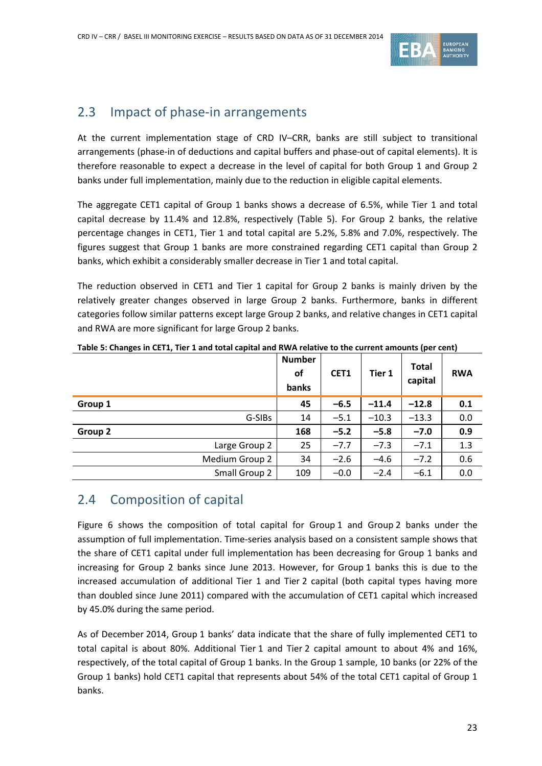

## <span id="page-22-0"></span>2.3 Impact of phase-in arrangements

At the current implementation stage of CRD IV–CRR, banks are still subject to transitional arrangements (phase-in of deductions and capital buffers and phase-out of capital elements). It is therefore reasonable to expect a decrease in the level of capital for both Group 1 and Group 2 banks under full implementation, mainly due to the reduction in eligible capital elements.

The aggregate CET1 capital of Group 1 banks shows a decrease of 6.5%, while Tier 1 and total capital decrease by 11.4% and 12.8%, respectively [\(Table 5\)](#page-22-2). For Group 2 banks, the relative percentage changes in CET1, Tier 1 and total capital are 5.2%, 5.8% and 7.0%, respectively. The figures suggest that Group 1 banks are more constrained regarding CET1 capital than Group 2 banks, which exhibit a considerably smaller decrease in Tier 1 and total capital.

The reduction observed in CET1 and Tier 1 capital for Group 2 banks is mainly driven by the relatively greater changes observed in large Group 2 banks. Furthermore, banks in different categories follow similar patterns except large Group 2 banks, and relative changes in CET1 capital and RWA are more significant for large Group 2 banks.

|                | <b>Number</b><br><b>of</b><br>banks | CET1   | Tier 1  | <b>Total</b><br>capital | <b>RWA</b> |
|----------------|-------------------------------------|--------|---------|-------------------------|------------|
| Group 1        | 45                                  | $-6.5$ | $-11.4$ | $-12.8$                 | 0.1        |
| G-SIBs         | 14                                  | $-5.1$ | $-10.3$ | $-13.3$                 | 0.0        |
| Group 2        | 168                                 | $-5.2$ | $-5.8$  | $-7.0$                  | 0.9        |
| Large Group 2  | 25                                  | $-7.7$ | $-7.3$  | $-7.1$                  | 1.3        |
| Medium Group 2 | 34                                  | $-2.6$ | $-4.6$  | $-7.2$                  | 0.6        |
| Small Group 2  | 109                                 | $-0.0$ | $-2.4$  | $-6.1$                  | 0.0        |

<span id="page-22-2"></span>**Table 5: Changes in CET1, Tier 1 and total capital and RWA relative to the current amounts (per cent)**

## <span id="page-22-1"></span>2.4 Composition of capital

[Figure 6](#page-23-1) shows the composition of total capital for Group 1 and Group 2 banks under the assumption of full implementation. Time-series analysis based on a consistent sample shows that the share of CET1 capital under full implementation has been decreasing for Group 1 banks and increasing for Group 2 banks since June 2013. However, for Group 1 banks this is due to the increased accumulation of additional Tier 1 and Tier 2 capital (both capital types having more than doubled since June 2011) compared with the accumulation of CET1 capital which increased by 45.0% during the same period.

As of December 2014, Group 1 banks' data indicate that the share of fully implemented CET1 to total capital is about 80%. Additional Tier 1 and Tier 2 capital amount to about 4% and 16%, respectively, of the total capital of Group 1 banks. In the Group 1 sample, 10 banks (or 22% of the Group 1 banks) hold CET1 capital that represents about 54% of the total CET1 capital of Group 1 banks.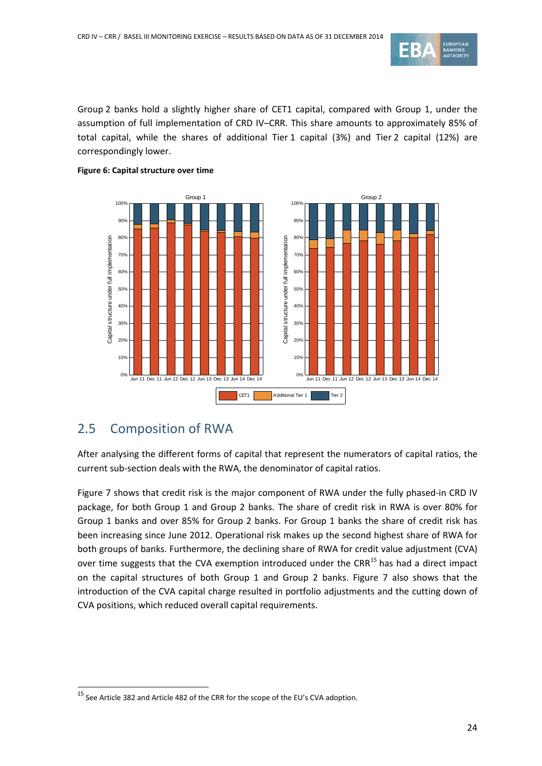

Group 2 banks hold a slightly higher share of CET1 capital, compared with Group 1, under the assumption of full implementation of CRD IV–CRR. This share amounts to approximately 85% of total capital, while the shares of additional Tier 1 capital (3%) and Tier 2 capital (12%) are correspondingly lower.



### <span id="page-23-1"></span>**Figure 6: Capital structure over time**

## <span id="page-23-0"></span>2.5 Composition of RWA

 $\overline{a}$ 

After analysing the different forms of capital that represent the numerators of capital ratios, the current sub-section deals with the RWA, the denominator of capital ratios.

[Figure 7](#page-24-1) shows that credit risk is the major component of RWA under the fully phased-in CRD IV package, for both Group 1 and Group 2 banks. The share of credit risk in RWA is over 80% for Group 1 banks and over 85% for Group 2 banks. For Group 1 banks the share of credit risk has been increasing since June 2012. Operational risk makes up the second highest share of RWA for both groups of banks. Furthermore, the declining share of RWA for credit value adjustment (CVA) over time suggests that the CVA exemption introduced under the CRR $^{15}$  $^{15}$  $^{15}$  has had a direct impact on the capital structures of both Group 1 and Group 2 banks. [Figure 7](#page-24-1) also shows that the introduction of the CVA capital charge resulted in portfolio adjustments and the cutting down of CVA positions, which reduced overall capital requirements.

<span id="page-23-2"></span> $15$  See Article 382 and Article 482 of the CRR for the scope of the EU's CVA adoption.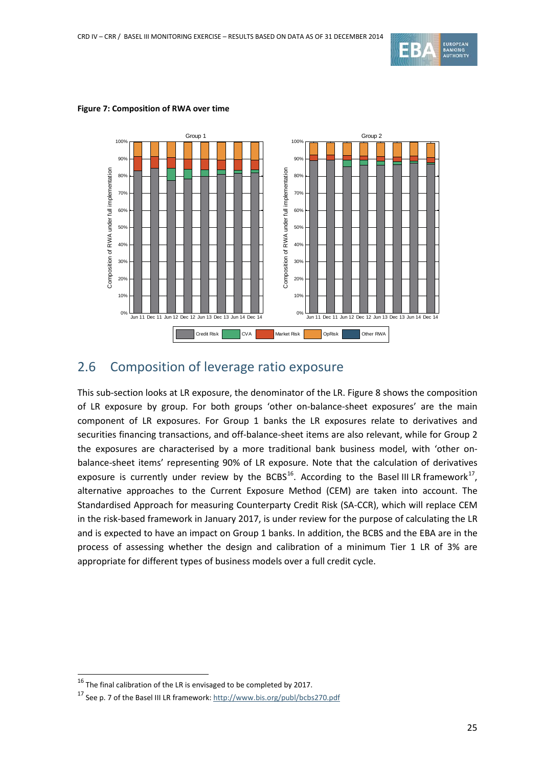

#### Group 1 Group 2 100% 100%  $90<sup>o</sup>$  $90<sup>6</sup>$ Composition of RWA under full implementation Composition of RWA under full implementation Composition of RWA under full implementation Composition of RWA under full implementation 80% 80% 70% 70% 60% 60% 50% 50% 40% 40% 30% 30% 20% 20% 10% 10% Jun 11 Dec 11 Jun 12 Dec 12 Jun 13 Dec 13 Jun 14 Dec 14 0% Jun 11 Dec 11 Jun 12 Dec 12 Jun 13 Dec 13 Jun 14 Dec 14 0% Credit Risk CVA CVA Market Risk OpRisk Other RWA

#### <span id="page-24-1"></span>**Figure 7: Composition of RWA over time**

## <span id="page-24-0"></span>2.6 Composition of leverage ratio exposure

This sub-section looks at LR exposure, the denominator of the LR[. Figure 8](#page-25-0) shows the composition of LR exposure by group. For both groups 'other on-balance-sheet exposures' are the main component of LR exposures. For Group 1 banks the LR exposures relate to derivatives and securities financing transactions, and off-balance-sheet items are also relevant, while for Group 2 the exposures are characterised by a more traditional bank business model, with 'other onbalance-sheet items' representing 90% of LR exposure. Note that the calculation of derivatives exposure is currently under review by the BCBS<sup>[16](#page-24-2)</sup>. According to the Basel III LR framework<sup>[17](#page-24-3)</sup>, alternative approaches to the Current Exposure Method (CEM) are taken into account. The Standardised Approach for measuring Counterparty Credit Risk (SA-CCR), which will replace CEM in the risk-based framework in January 2017, is under review for the purpose of calculating the LR and is expected to have an impact on Group 1 banks. In addition, the BCBS and the EBA are in the process of assessing whether the design and calibration of a minimum Tier 1 LR of 3% are appropriate for different types of business models over a full credit cycle.

<span id="page-24-2"></span> $16$  The final calibration of the LR is envisaged to be completed by 2017.

<span id="page-24-3"></span><sup>&</sup>lt;sup>17</sup> See p. 7 of the Basel III LR framework[: http://www.bis.org/publ/bcbs270.pdf](http://www.bis.org/publ/bcbs270.pdf)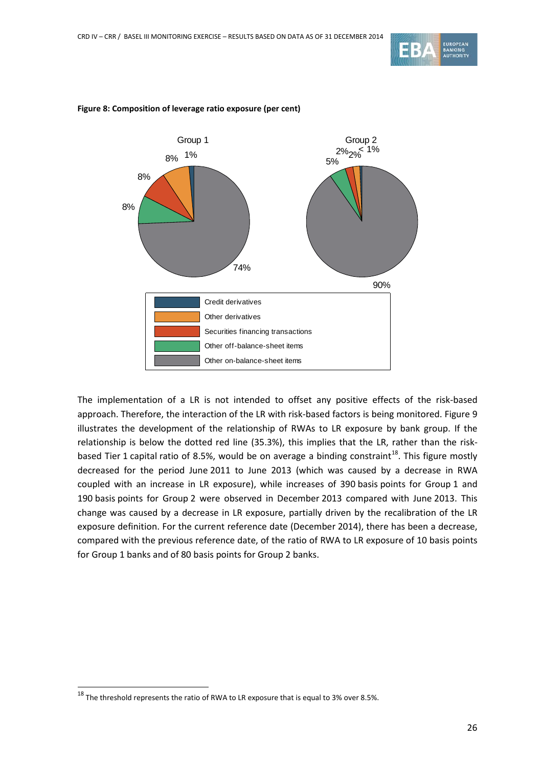



#### <span id="page-25-0"></span>**Figure 8: Composition of leverage ratio exposure (per cent)**

The implementation of a LR is not intended to offset any positive effects of the risk-based approach. Therefore, the interaction of the LR with risk-based factors is being monitored. [Figure 9](#page-26-0) illustrates the development of the relationship of RWAs to LR exposure by bank group. If the relationship is below the dotted red line (35.3%), this implies that the LR, rather than the risk-based Tier 1 capital ratio of 8.5%, would be on average a binding constraint<sup>[18](#page-25-1)</sup>. This figure mostly decreased for the period June 2011 to June 2013 (which was caused by a decrease in RWA coupled with an increase in LR exposure), while increases of 390 basis points for Group 1 and 190 basis points for Group 2 were observed in December 2013 compared with June 2013. This change was caused by a decrease in LR exposure, partially driven by the recalibration of the LR exposure definition. For the current reference date (December 2014), there has been a decrease, compared with the previous reference date, of the ratio of RWA to LR exposure of 10 basis points for Group 1 banks and of 80 basis points for Group 2 banks.

<span id="page-25-1"></span> $^{18}$  The threshold represents the ratio of RWA to LR exposure that is equal to 3% over 8.5%.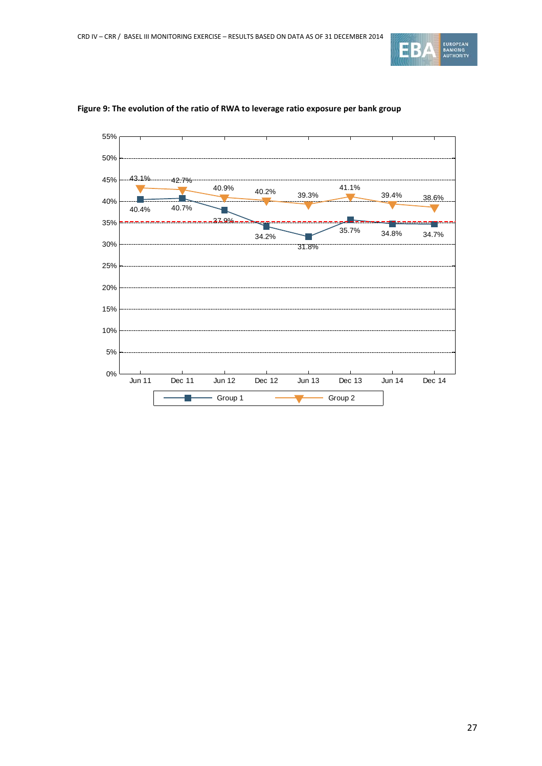



#### <span id="page-26-0"></span>**Figure 9: The evolution of the ratio of RWA to leverage ratio exposure per bank group**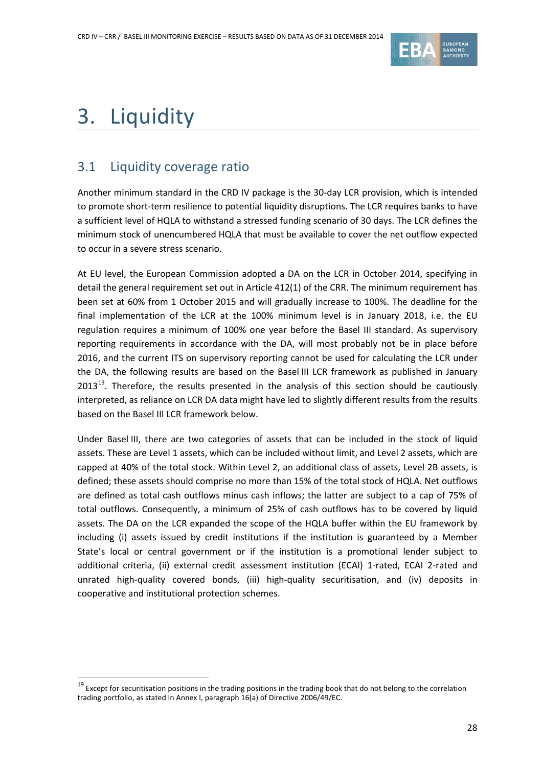

# <span id="page-27-0"></span>3. Liquidity

 $\overline{a}$ 

# <span id="page-27-1"></span>3.1 Liquidity coverage ratio

Another minimum standard in the CRD IV package is the 30-day LCR provision, which is intended to promote short-term resilience to potential liquidity disruptions. The LCR requires banks to have a sufficient level of HQLA to withstand a stressed funding scenario of 30 days. The LCR defines the minimum stock of unencumbered HQLA that must be available to cover the net outflow expected to occur in a severe stress scenario.

At EU level, the European Commission adopted a DA on the LCR in October 2014, specifying in detail the general requirement set out in Article 412(1) of the CRR. The minimum requirement has been set at 60% from 1 October 2015 and will gradually increase to 100%. The deadline for the final implementation of the LCR at the 100% minimum level is in January 2018, i.e. the EU regulation requires a minimum of 100% one year before the Basel III standard. As supervisory reporting requirements in accordance with the DA, will most probably not be in place before 2016, and the current ITS on supervisory reporting cannot be used for calculating the LCR under the DA, the following results are based on the Basel III LCR framework as published in January  $2013^{19}$ . Therefore, the results presented in the analysis of this section should be cautiously interpreted, as reliance on LCR DA data might have led to slightly different results from the results based on the Basel III LCR framework below.

Under Basel III, there are two categories of assets that can be included in the stock of liquid assets. These are Level 1 assets, which can be included without limit, and Level 2 assets, which are capped at 40% of the total stock. Within Level 2, an additional class of assets, Level 2B assets, is defined; these assets should comprise no more than 15% of the total stock of HQLA. Net outflows are defined as total cash outflows minus cash inflows; the latter are subject to a cap of 75% of total outflows. Consequently, a minimum of 25% of cash outflows has to be covered by liquid assets. The DA on the LCR expanded the scope of the HQLA buffer within the EU framework by including (i) assets issued by credit institutions if the institution is guaranteed by a Member State's local or central government or if the institution is a promotional lender subject to additional criteria, (ii) external credit assessment institution (ECAI) 1-rated, ECAI 2-rated and unrated high-quality covered bonds, (iii) high-quality securitisation, and (iv) deposits in cooperative and institutional protection schemes.

<span id="page-27-2"></span><sup>&</sup>lt;sup>19</sup> Except for securitisation positions in the trading positions in the trading book that do not belong to the correlation trading portfolio, as stated in Annex I, paragraph 16(a) of Directive 2006/49/EC.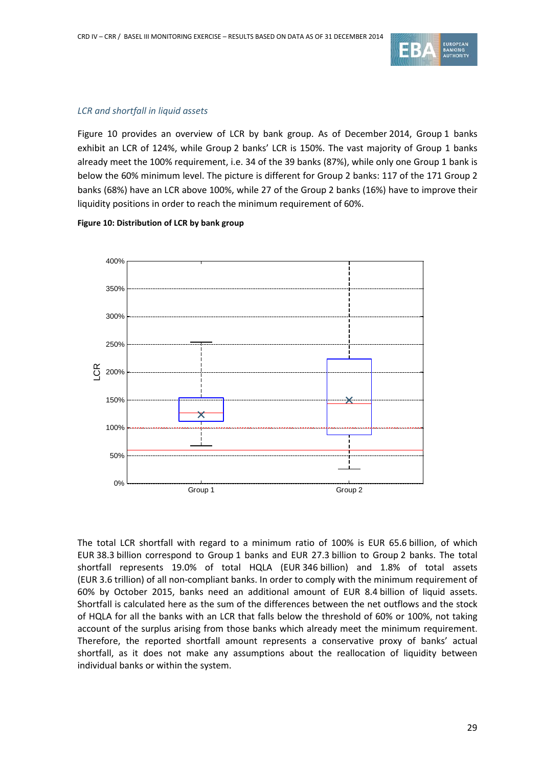

#### *LCR and shortfall in liquid assets*

[Figure 10](#page-28-0) provides an overview of LCR by bank group. As of December 2014, Group 1 banks exhibit an LCR of 124%, while Group 2 banks' LCR is 150%. The vast majority of Group 1 banks already meet the 100% requirement, i.e. 34 of the 39 banks (87%), while only one Group 1 bank is below the 60% minimum level. The picture is different for Group 2 banks: 117 of the 171 Group 2 banks (68%) have an LCR above 100%, while 27 of the Group 2 banks (16%) have to improve their liquidity positions in order to reach the minimum requirement of 60%.



#### <span id="page-28-0"></span>**Figure 10: Distribution of LCR by bank group**

The total LCR shortfall with regard to a minimum ratio of 100% is EUR 65.6 billion, of which EUR 38.3 billion correspond to Group 1 banks and EUR 27.3 billion to Group 2 banks. The total shortfall represents 19.0% of total HQLA (EUR 346 billion) and 1.8% of total assets (EUR 3.6 trillion) of all non-compliant banks. In order to comply with the minimum requirement of 60% by October 2015, banks need an additional amount of EUR 8.4 billion of liquid assets. Shortfall is calculated here as the sum of the differences between the net outflows and the stock of HQLA for all the banks with an LCR that falls below the threshold of 60% or 100%, not taking account of the surplus arising from those banks which already meet the minimum requirement. Therefore, the reported shortfall amount represents a conservative proxy of banks' actual shortfall, as it does not make any assumptions about the reallocation of liquidity between individual banks or within the system.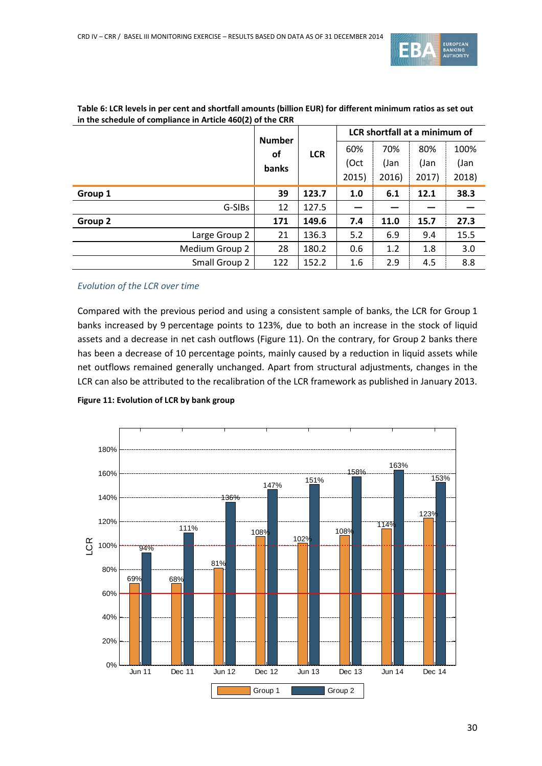

|                | <b>Number</b><br><b>of</b> |            | LCR shortfall at a minimum of |       |       |       |  |  |
|----------------|----------------------------|------------|-------------------------------|-------|-------|-------|--|--|
|                |                            | <b>LCR</b> | 60%                           | 70%   | 80%   | 100%  |  |  |
|                | banks                      |            | (Oct                          | (Jan  | (Jan  | (Jan  |  |  |
|                |                            |            | 2015)                         | 2016) | 2017) | 2018) |  |  |
| Group 1        | 39                         | 123.7      | 1.0                           | 6.1   | 12.1  | 38.3  |  |  |
| G-SIBs         | 12                         | 127.5      |                               |       |       |       |  |  |
| Group 2        | 171                        | 149.6      | 7.4                           | 11.0  | 15.7  | 27.3  |  |  |
| Large Group 2  | 21                         | 136.3      | 5.2                           | 6.9   | 9.4   | 15.5  |  |  |
| Medium Group 2 | 28                         | 180.2      | 0.6                           | 1.2   | 1.8   | 3.0   |  |  |
| Small Group 2  | 122                        | 152.2      | 1.6                           | 2.9   | 4.5   | 8.8   |  |  |

#### <span id="page-29-0"></span>**Table 6: LCR levels in per cent and shortfall amounts (billion EUR) for different minimum ratios as set out in the schedule of compliance in Article 460(2) of the CRR**

### *Evolution of the LCR over time*

Compared with the previous period and using a consistent sample of banks, the LCR for Group 1 banks increased by 9 percentage points to 123%, due to both an increase in the stock of liquid assets and a decrease in net cash outflows [\(Figure 11\)](#page-29-1). On the contrary, for Group 2 banks there has been a decrease of 10 percentage points, mainly caused by a reduction in liquid assets while net outflows remained generally unchanged. Apart from structural adjustments, changes in the LCR can also be attributed to the recalibration of the LCR framework as published in January 2013.

<span id="page-29-1"></span>

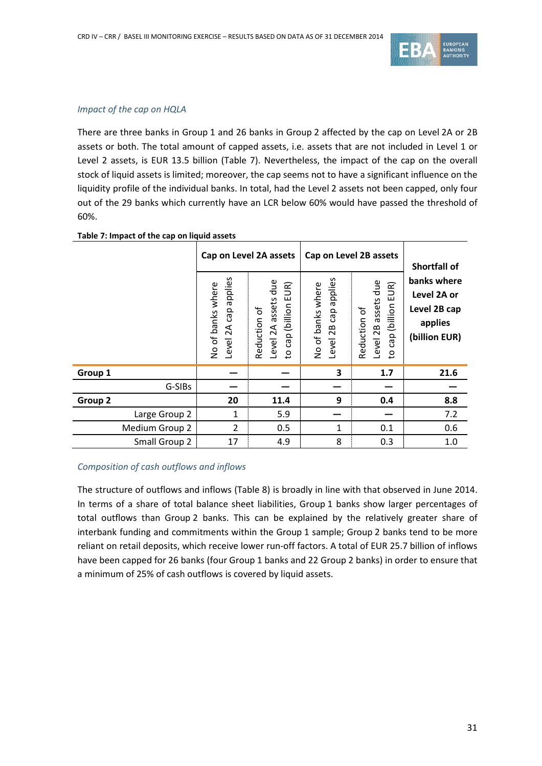

### *Impact of the cap on HQLA*

There are three banks in Group 1 and 26 banks in Group 2 affected by the cap on Level 2A or 2B assets or both. The total amount of capped assets, i.e. assets that are not included in Level 1 or Level 2 assets, is EUR 13.5 billion [\(Table 7\)](#page-30-0). Nevertheless, the impact of the cap on the overall stock of liquid assets is limited; moreover, the cap seems not to have a significant influence on the liquidity profile of the individual banks. In total, had the Level 2 assets not been capped, only four out of the 29 banks which currently have an LCR below 60% would have passed the threshold of 60%.

|                | Level 2A cap applies<br>No of banks where | Cap on Level 2A assets<br>assets due<br>UR)<br>ш<br>(billion<br>Reduction of<br>Level 2A<br>cap<br>$\overline{c}$ | applies<br>No of banks where<br>cap<br>Level 2B | Cap on Level 2B assets<br>assets due<br>EUR)<br>cap (billion<br>Reduction of<br>Level 2B<br>$\overline{5}$ | Shortfall of<br>banks where<br>Level 2A or<br>Level 2B cap<br>applies<br>(billion EUR) |  |
|----------------|-------------------------------------------|-------------------------------------------------------------------------------------------------------------------|-------------------------------------------------|------------------------------------------------------------------------------------------------------------|----------------------------------------------------------------------------------------|--|
| Group 1        |                                           |                                                                                                                   | 3                                               | 1.7                                                                                                        | 21.6                                                                                   |  |
| G-SIBs         |                                           |                                                                                                                   |                                                 |                                                                                                            |                                                                                        |  |
| Group 2        | 20                                        | 11.4                                                                                                              | 9                                               | 0.4                                                                                                        | 8.8                                                                                    |  |
| Large Group 2  | $\mathbf{1}$                              | 5.9                                                                                                               |                                                 |                                                                                                            | 7.2                                                                                    |  |
| Medium Group 2 | $\overline{2}$                            | 0.5                                                                                                               | 1                                               | 0.1                                                                                                        | 0.6                                                                                    |  |
| Small Group 2  | 17                                        | 4.9                                                                                                               | 8                                               | 0.3                                                                                                        | 1.0                                                                                    |  |

#### <span id="page-30-0"></span>**Table 7: Impact of the cap on liquid assets**

### *Composition of cash outflows and inflows*

The structure of outflows and inflows [\(Table 8\)](#page-31-0) is broadly in line with that observed in June 2014. In terms of a share of total balance sheet liabilities, Group 1 banks show larger percentages of total outflows than Group 2 banks. This can be explained by the relatively greater share of interbank funding and commitments within the Group 1 sample; Group 2 banks tend to be more reliant on retail deposits, which receive lower run-off factors. A total of EUR 25.7 billion of inflows have been capped for 26 banks (four Group 1 banks and 22 Group 2 banks) in order to ensure that a minimum of 25% of cash outflows is covered by liquid assets.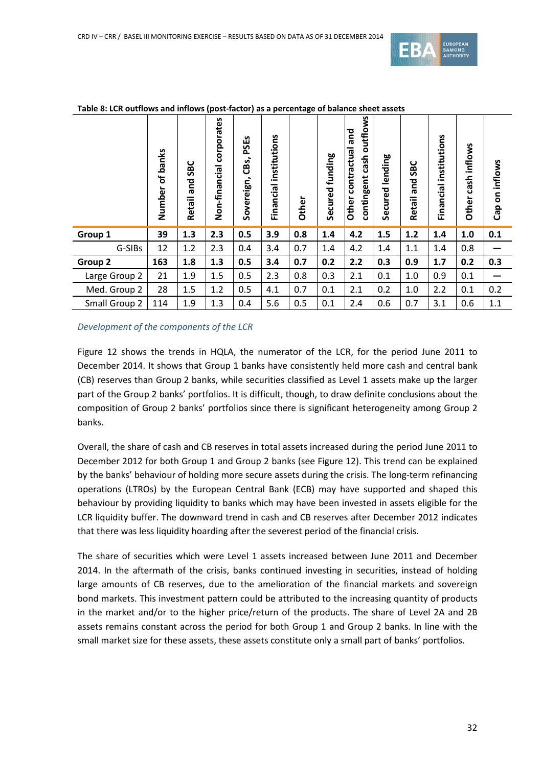

|               | banks<br>৳<br>Number | SBC<br>and<br><b>Retail</b> | corporates<br>Non-financial | PSEs<br>CBs,<br>Sovereign, | institutions<br>Financial | Other | Secured funding | outflows<br>and<br>contractual<br>cash<br>contingent<br>Other | lending<br>Secured | 9C<br>S<br>pue<br><b>Retail</b> | nstitutions<br>._<br>Financia | inflows<br>$\mathsf{cash}$<br>Other | on inflows<br>$\mathsf{cap}$ |
|---------------|----------------------|-----------------------------|-----------------------------|----------------------------|---------------------------|-------|-----------------|---------------------------------------------------------------|--------------------|---------------------------------|-------------------------------|-------------------------------------|------------------------------|
| Group 1       | 39                   | 1.3                         | 2.3                         | 0.5                        | 3.9                       | 0.8   | 1.4             | 4.2                                                           | 1.5                | 1.2                             | 1.4                           | $1.0\,$                             | 0.1                          |
| G-SIBs        | 12                   | 1.2                         | 2.3                         | 0.4                        | 3.4                       | 0.7   | 1.4             | 4.2                                                           | 1.4                | 1.1                             | 1.4                           | 0.8                                 |                              |
| Group 2       | 163                  | 1.8                         | 1.3                         | 0.5                        | 3.4                       | 0.7   | 0.2             | 2.2                                                           | 0.3                | 0.9                             | 1.7                           | 0.2                                 | 0.3                          |
| Large Group 2 | 21                   | 1.9                         | 1.5                         | 0.5                        | 2.3                       | 0.8   | 0.3             | 2.1                                                           | 0.1                | 1.0                             | 0.9                           | 0.1                                 |                              |
| Med. Group 2  | 28                   | 1.5                         | 1.2                         | 0.5                        | 4.1                       | 0.7   | 0.1             | 2.1                                                           | 0.2                | 1.0                             | 2.2                           | 0.1                                 | 0.2                          |
| Small Group 2 | 114                  | 1.9                         | 1.3                         | 0.4                        | 5.6                       | 0.5   | 0.1             | 2.4                                                           | 0.6                | 0.7                             | 3.1                           | 0.6                                 | 1.1                          |

#### <span id="page-31-0"></span>**Table 8: LCR outflows and inflows (post-factor) as a percentage of balance sheet assets**

### *Development of the components of the LCR*

[Figure 12](#page-32-0) shows the trends in HQLA, the numerator of the LCR, for the period June 2011 to December 2014. It shows that Group 1 banks have consistently held more cash and central bank (CB) reserves than Group 2 banks, while securities classified as Level 1 assets make up the larger part of the Group 2 banks' portfolios. It is difficult, though, to draw definite conclusions about the composition of Group 2 banks' portfolios since there is significant heterogeneity among Group 2 banks.

Overall, the share of cash and CB reserves in total assets increased during the period June 2011 to December 2012 for both Group 1 and Group 2 banks (see [Figure 12\)](#page-32-0). This trend can be explained by the banks' behaviour of holding more secure assets during the crisis. The long-term refinancing operations (LTROs) by the European Central Bank (ECB) may have supported and shaped this behaviour by providing liquidity to banks which may have been invested in assets eligible for the LCR liquidity buffer. The downward trend in cash and CB reserves after December 2012 indicates that there was less liquidity hoarding after the severest period of the financial crisis.

The share of securities which were Level 1 assets increased between June 2011 and December 2014. In the aftermath of the crisis, banks continued investing in securities, instead of holding large amounts of CB reserves, due to the amelioration of the financial markets and sovereign bond markets. This investment pattern could be attributed to the increasing quantity of products in the market and/or to the higher price/return of the products. The share of Level 2A and 2B assets remains constant across the period for both Group 1 and Group 2 banks. In line with the small market size for these assets, these assets constitute only a small part of banks' portfolios.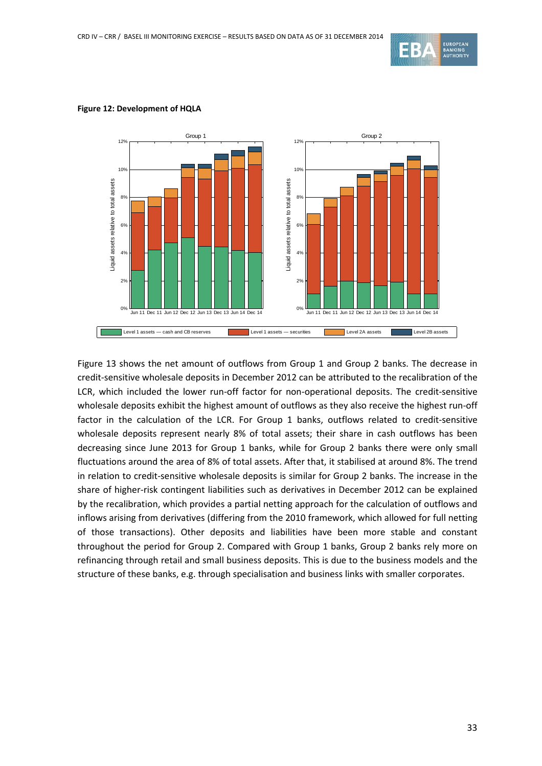



#### <span id="page-32-0"></span>**Figure 12: Development of HQLA**

[Figure 13](#page-33-0) shows the net amount of outflows from Group 1 and Group 2 banks. The decrease in credit-sensitive wholesale deposits in December 2012 can be attributed to the recalibration of the LCR, which included the lower run-off factor for non-operational deposits. The credit-sensitive wholesale deposits exhibit the highest amount of outflows as they also receive the highest run-off factor in the calculation of the LCR. For Group 1 banks, outflows related to credit-sensitive wholesale deposits represent nearly 8% of total assets; their share in cash outflows has been decreasing since June 2013 for Group 1 banks, while for Group 2 banks there were only small fluctuations around the area of 8% of total assets. After that, it stabilised at around 8%. The trend in relation to credit-sensitive wholesale deposits is similar for Group 2 banks. The increase in the share of higher-risk contingent liabilities such as derivatives in December 2012 can be explained by the recalibration, which provides a partial netting approach for the calculation of outflows and inflows arising from derivatives (differing from the 2010 framework, which allowed for full netting of those transactions). Other deposits and liabilities have been more stable and constant throughout the period for Group 2. Compared with Group 1 banks, Group 2 banks rely more on refinancing through retail and small business deposits. This is due to the business models and the structure of these banks, e.g. through specialisation and business links with smaller corporates.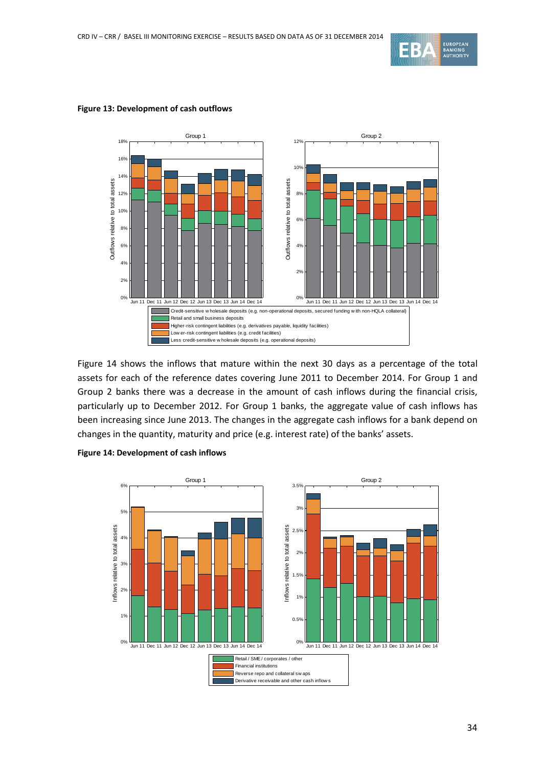



#### <span id="page-33-0"></span>**Figure 13: Development of cash outflows**

[Figure 14](#page-33-1) shows the inflows that mature within the next 30 days as a percentage of the total assets for each of the reference dates covering June 2011 to December 2014. For Group 1 and Group 2 banks there was a decrease in the amount of cash inflows during the financial crisis, particularly up to December 2012. For Group 1 banks, the aggregate value of cash inflows has been increasing since June 2013. The changes in the aggregate cash inflows for a bank depend on changes in the quantity, maturity and price (e.g. interest rate) of the banks' assets.

<span id="page-33-1"></span>

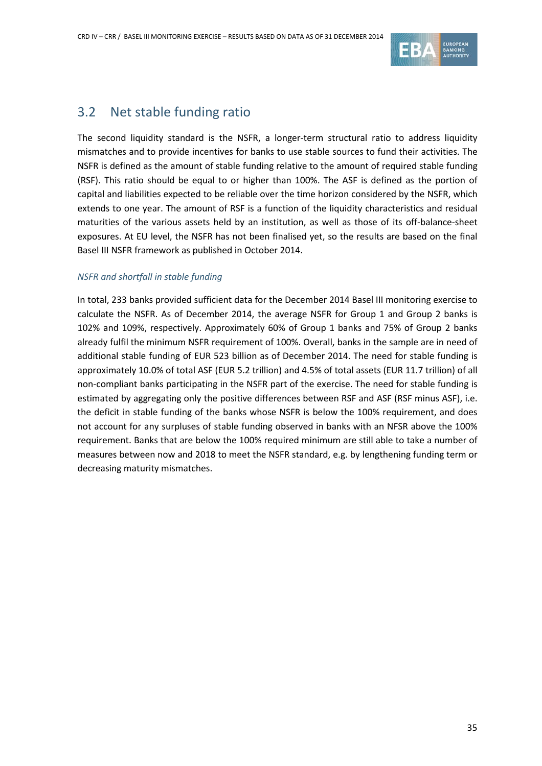

## <span id="page-34-0"></span>3.2 Net stable funding ratio

The second liquidity standard is the NSFR, a longer-term structural ratio to address liquidity mismatches and to provide incentives for banks to use stable sources to fund their activities. The NSFR is defined as the amount of stable funding relative to the amount of required stable funding (RSF). This ratio should be equal to or higher than 100%. The ASF is defined as the portion of capital and liabilities expected to be reliable over the time horizon considered by the NSFR, which extends to one year. The amount of RSF is a function of the liquidity characteristics and residual maturities of the various assets held by an institution, as well as those of its off-balance-sheet exposures. At EU level, the NSFR has not been finalised yet, so the results are based on the final Basel III NSFR framework as published in October 2014.

### *NSFR and shortfall in stable funding*

In total, 233 banks provided sufficient data for the December 2014 Basel III monitoring exercise to calculate the NSFR. As of December 2014, the average NSFR for Group 1 and Group 2 banks is 102% and 109%, respectively. Approximately 60% of Group 1 banks and 75% of Group 2 banks already fulfil the minimum NSFR requirement of 100%. Overall, banks in the sample are in need of additional stable funding of EUR 523 billion as of December 2014. The need for stable funding is approximately 10.0% of total ASF (EUR 5.2 trillion) and 4.5% of total assets (EUR 11.7 trillion) of all non-compliant banks participating in the NSFR part of the exercise. The need for stable funding is estimated by aggregating only the positive differences between RSF and ASF (RSF minus ASF), i.e. the deficit in stable funding of the banks whose NSFR is below the 100% requirement, and does not account for any surpluses of stable funding observed in banks with an NFSR above the 100% requirement. Banks that are below the 100% required minimum are still able to take a number of measures between now and 2018 to meet the NSFR standard, e.g. by lengthening funding term or decreasing maturity mismatches.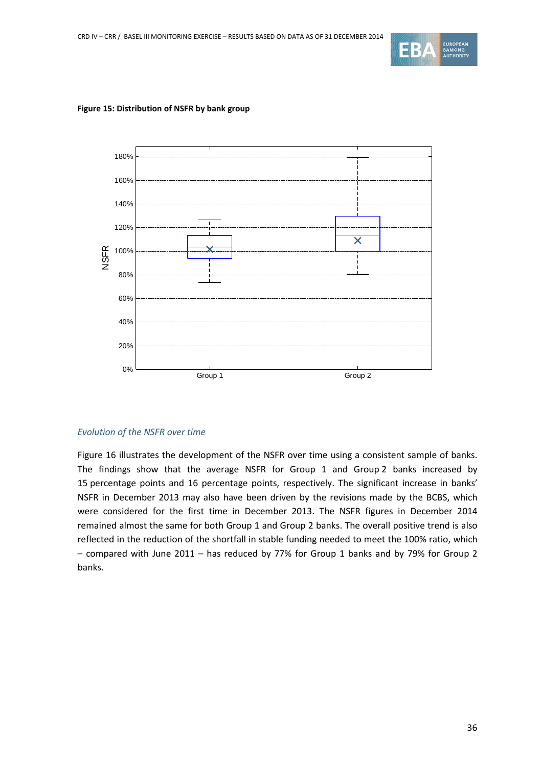



#### **Figure 15: Distribution of NSFR by bank group**

### *Evolution of the NSFR over time*

[Figure 16](#page-36-0) illustrates the development of the NSFR over time using a consistent sample of banks. The findings show that the average NSFR for Group 1 and Group 2 banks increased by 15 percentage points and 16 percentage points, respectively. The significant increase in banks' NSFR in December 2013 may also have been driven by the revisions made by the BCBS, which were considered for the first time in December 2013. The NSFR figures in December 2014 remained almost the same for both Group 1 and Group 2 banks. The overall positive trend is also reflected in the reduction of the shortfall in stable funding needed to meet the 100% ratio, which – compared with June 2011 – has reduced by 77% for Group 1 banks and by 79% for Group 2 banks.